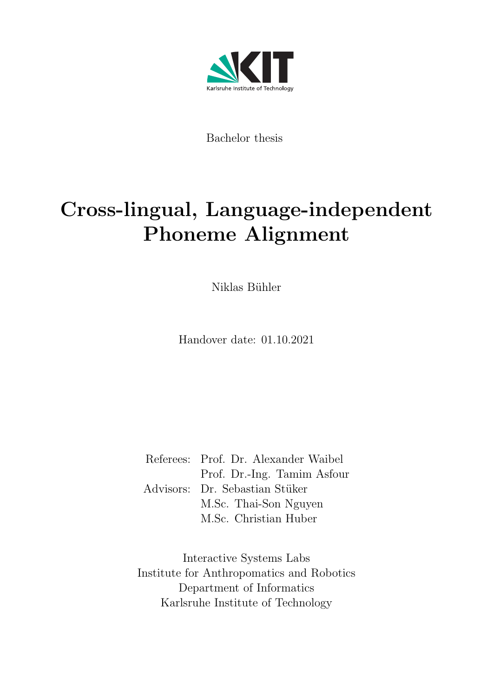

Bachelor thesis

# Cross-lingual, Language-independent Phoneme Alignment

Niklas Bühler

Handover date: 01.10.2021

Referees: Prof. Dr. Alexander Waibel Prof. Dr.-Ing. Tamim Asfour Advisors: Dr. Sebastian Stüker M.Sc. Thai-Son Nguyen M.Sc. Christian Huber

Interactive Systems Labs Institute for Anthropomatics and Robotics Department of Informatics Karlsruhe Institute of Technology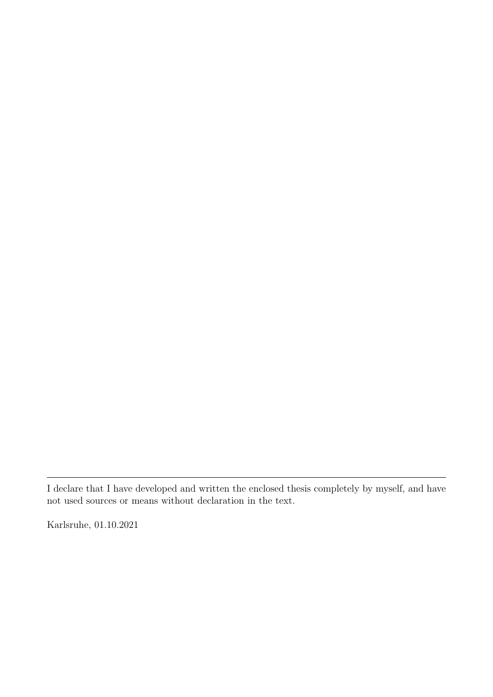I declare that I have developed and written the enclosed thesis completely by myself, and have not used sources or means without declaration in the text.

Karlsruhe, 01.10.2021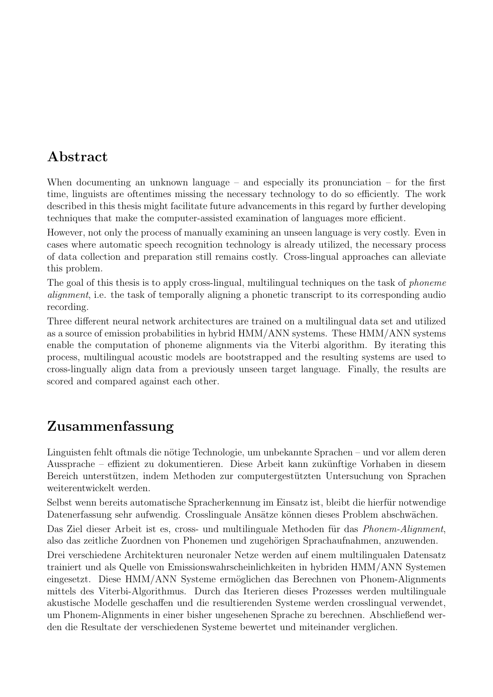# Abstract

When documenting an unknown language – and especially its pronunciation – for the first time, linguists are oftentimes missing the necessary technology to do so efficiently. The work described in this thesis might facilitate future advancements in this regard by further developing techniques that make the computer-assisted examination of languages more efficient.

However, not only the process of manually examining an unseen language is very costly. Even in cases where automatic speech recognition technology is already utilized, the necessary process of data collection and preparation still remains costly. Cross-lingual approaches can alleviate this problem.

The goal of this thesis is to apply cross-lingual, multilingual techniques on the task of phoneme alignment, i.e. the task of temporally aligning a phonetic transcript to its corresponding audio recording.

Three different neural network architectures are trained on a multilingual data set and utilized as a source of emission probabilities in hybrid HMM/ANN systems. These HMM/ANN systems enable the computation of phoneme alignments via the Viterbi algorithm. By iterating this process, multilingual acoustic models are bootstrapped and the resulting systems are used to cross-lingually align data from a previously unseen target language. Finally, the results are scored and compared against each other.

# Zusammenfassung

Linguisten fehlt oftmals die nötige Technologie, um unbekannte Sprachen – und vor allem deren Aussprache – effizient zu dokumentieren. Diese Arbeit kann zukünftige Vorhaben in diesem Bereich unterstützen, indem Methoden zur computergestützten Untersuchung von Sprachen weiterentwickelt werden.

Selbst wenn bereits automatische Spracherkennung im Einsatz ist, bleibt die hierfür notwendige Datenerfassung sehr aufwendig. Crosslinguale Ansätze können dieses Problem abschwächen.

Das Ziel dieser Arbeit ist es, cross- und multilinguale Methoden für das Phonem-Alignment, also das zeitliche Zuordnen von Phonemen und zugehörigen Sprachaufnahmen, anzuwenden.

Drei verschiedene Architekturen neuronaler Netze werden auf einem multilingualen Datensatz trainiert und als Quelle von Emissionswahrscheinlichkeiten in hybriden HMM/ANN Systemen eingesetzt. Diese HMM/ANN Systeme ermöglichen das Berechnen von Phonem-Alignments mittels des Viterbi-Algorithmus. Durch das Iterieren dieses Prozesses werden multilinguale akustische Modelle geschaffen und die resultierenden Systeme werden crosslingual verwendet, um Phonem-Alignments in einer bisher ungesehenen Sprache zu berechnen. Abschließend werden die Resultate der verschiedenen Systeme bewertet und miteinander verglichen.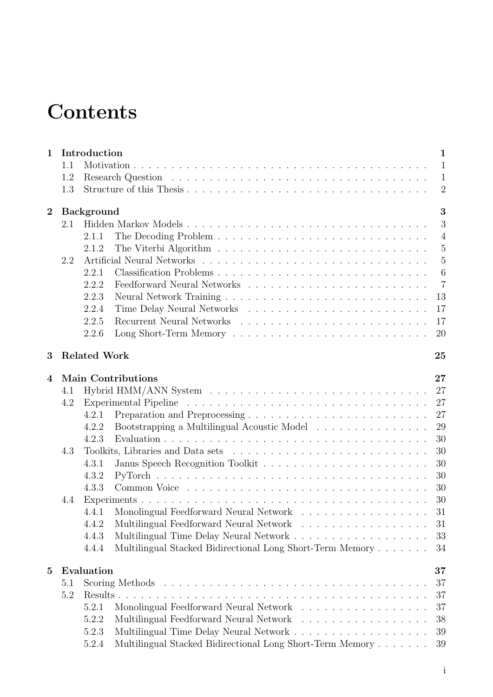# **Contents**

| $\mathbf 1$    |     | Introduction<br>$\mathbf{1}$                                             |
|----------------|-----|--------------------------------------------------------------------------|
|                | 1.1 | $\mathbf{1}$                                                             |
|                | 1.2 | $\mathbf{1}$                                                             |
|                | 1.3 | $\overline{2}$                                                           |
| $\overline{2}$ |     | 3<br><b>Background</b>                                                   |
|                | 2.1 | 3                                                                        |
|                |     | $\overline{4}$<br>2.1.1                                                  |
|                |     | $\overline{5}$<br>2.1.2                                                  |
|                | 2.2 | $\overline{5}$                                                           |
|                |     | 6<br>2.2.1                                                               |
|                |     | $\overline{7}$<br>2.2.2                                                  |
|                |     | 13<br>2.2.3                                                              |
|                |     | 17<br>2.2.4                                                              |
|                |     | 2.2.5<br>17                                                              |
|                |     | 20<br>2.2.6                                                              |
| 3              |     | <b>Related Work</b><br>25                                                |
|                |     | <b>Main Contributions</b><br>27                                          |
| 4              | 4.1 | 27                                                                       |
|                | 4.2 | 27                                                                       |
|                |     | 27<br>4.2.1                                                              |
|                |     | 29<br>4.2.2<br>Bootstrapping a Multilingual Acoustic Model               |
|                |     | 30<br>4.2.3                                                              |
|                | 4.3 | 30                                                                       |
|                |     | 30<br>4.3.1                                                              |
|                |     | 30<br>4.3.2                                                              |
|                |     |                                                                          |
|                |     | 30<br>4.3.3                                                              |
|                | 4.4 | 30                                                                       |
|                |     | 31<br>4.4.1                                                              |
|                |     | Multilingual Feedforward Neural Network<br>4.4.2<br>31                   |
|                |     | 4.4.3<br>33                                                              |
|                |     | Multilingual Stacked Bidirectional Long Short-Term Memory<br>4.4.4<br>34 |
| $\bf{5}$       |     | Evaluation<br>37                                                         |
|                | 5.1 | 37                                                                       |
|                | 5.2 | 37                                                                       |
|                |     | Monolingual Feedforward Neural Network<br>37<br>5.2.1                    |
|                |     | Multilingual Feedforward Neural Network<br>38<br>5.2.2                   |
|                |     | 39<br>5.2.3                                                              |
|                |     | Multilingual Stacked Bidirectional Long Short-Term Memory<br>5.2.4<br>39 |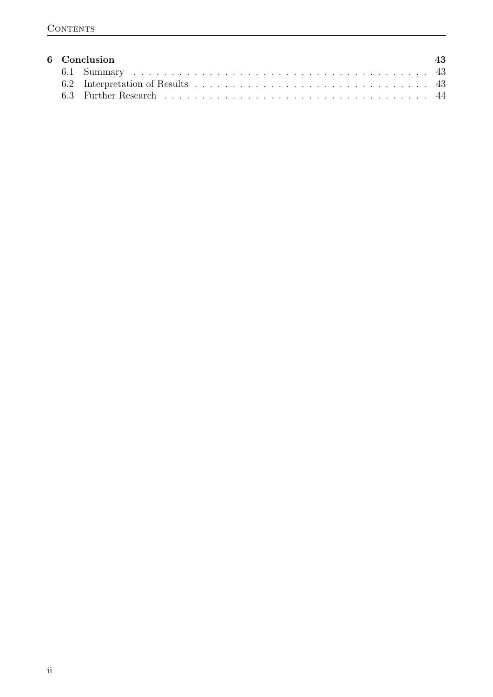|  | 6 Conclusion | 43 |
|--|--------------|----|
|  |              |    |
|  |              |    |
|  |              |    |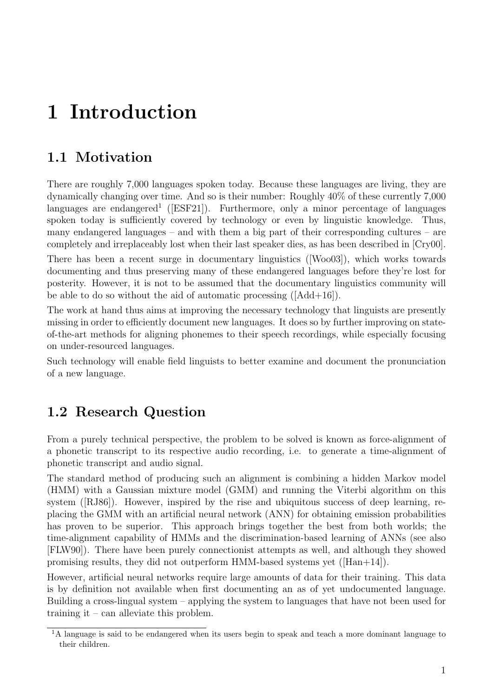# <span id="page-8-0"></span>1 Introduction

# <span id="page-8-1"></span>1.1 Motivation

There are roughly 7,000 languages spoken today. Because these languages are living, they are dynamically changing over time. And so is their number: Roughly 40% of these currently 7,000 languages are endangered<sup>[1](#page-8-3)</sup> ([\[ESF21\]](#page-54-0)). Furthermore, only a minor percentage of languages spoken today is sufficiently covered by technology or even by linguistic knowledge. Thus, many endangered languages – and with them a big part of their corresponding cultures – are completely and irreplaceably lost when their last speaker dies, as has been described in [\[Cry00\]](#page-53-0).

There has been a recent surge in documentary linguistics ([\[Woo03\]](#page-53-1)), which works towards documenting and thus preserving many of these endangered languages before they're lost for posterity. However, it is not to be assumed that the documentary linguistics community will be able to do so without the aid of automatic processing ([\[Add+16\]](#page-54-1)).

The work at hand thus aims at improving the necessary technology that linguists are presently missing in order to efficiently document new languages. It does so by further improving on stateof-the-art methods for aligning phonemes to their speech recordings, while especially focusing on under-resourced languages.

Such technology will enable field linguists to better examine and document the pronunciation of a new language.

# <span id="page-8-2"></span>1.2 Research Question

From a purely technical perspective, the problem to be solved is known as force-alignment of a phonetic transcript to its respective audio recording, i.e. to generate a time-alignment of phonetic transcript and audio signal.

The standard method of producing such an alignment is combining a hidden Markov model (HMM) with a Gaussian mixture model (GMM) and running the Viterbi algorithm on this system ([\[RJ86\]](#page-52-0)). However, inspired by the rise and ubiquitous success of deep learning, replacing the GMM with an artificial neural network (ANN) for obtaining emission probabilities has proven to be superior. This approach brings together the best from both worlds; the time-alignment capability of HMMs and the discrimination-based learning of ANNs (see also [\[FLW90\]](#page-52-1)). There have been purely connectionist attempts as well, and although they showed promising results, they did not outperform HMM-based systems yet ([\[Han+14\]](#page-53-2)).

However, artificial neural networks require large amounts of data for their training. This data is by definition not available when first documenting an as of yet undocumented language. Building a cross-lingual system – applying the system to languages that have not been used for training it – can alleviate this problem.

<span id="page-8-3"></span><sup>&</sup>lt;sup>1</sup>A language is said to be endangered when its users begin to speak and teach a more dominant language to their children.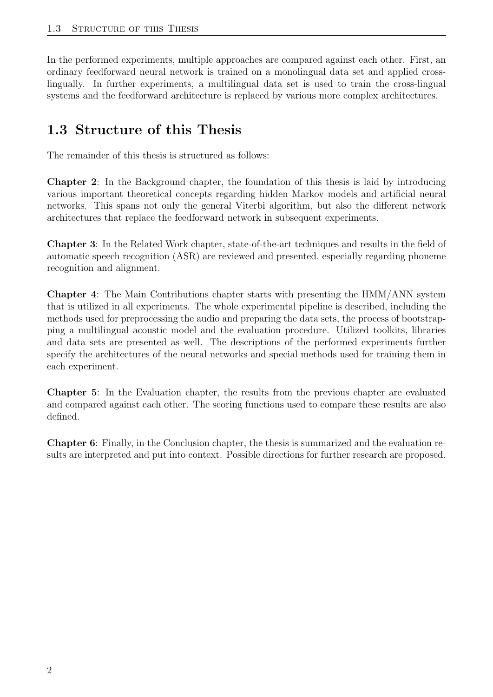In the performed experiments, multiple approaches are compared against each other. First, an ordinary feedforward neural network is trained on a monolingual data set and applied crosslingually. In further experiments, a multilingual data set is used to train the cross-lingual systems and the feedforward architecture is replaced by various more complex architectures.

# <span id="page-9-0"></span>1.3 Structure of this Thesis

The remainder of this thesis is structured as follows:

Chapter [2](#page-10-0): In the [Background](#page-10-0) chapter, the foundation of this thesis is laid by introducing various important theoretical concepts regarding hidden Markov models and artificial neural networks. This spans not only the general Viterbi algorithm, but also the different network architectures that replace the feedforward network in subsequent experiments.

Chapter [3](#page-32-0): In the [Related Work](#page-32-0) chapter, state-of-the-art techniques and results in the field of automatic speech recognition (ASR) are reviewed and presented, especially regarding phoneme recognition and alignment.

Chapter [4](#page-34-0): The [Main Contributions](#page-34-0) chapter starts with presenting the HMM/ANN system that is utilized in all experiments. The whole experimental pipeline is described, including the methods used for preprocessing the audio and preparing the data sets, the process of bootstrapping a multilingual acoustic model and the evaluation procedure. Utilized toolkits, libraries and data sets are presented as well. The descriptions of the performed experiments further specify the architectures of the neural networks and special methods used for training them in each experiment.

Chapter [5](#page-44-0): In the [Evaluation](#page-44-0) chapter, the results from the previous chapter are evaluated and compared against each other. The scoring functions used to compare these results are also defined.

Chapter [6](#page-50-0): Finally, in the [Conclusion](#page-50-0) chapter, the thesis is summarized and the evaluation results are interpreted and put into context. Possible directions for further research are proposed.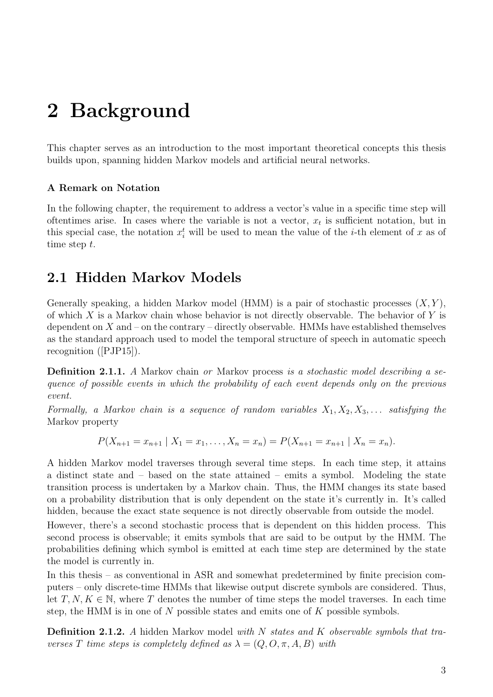# <span id="page-10-0"></span>2 Background

This chapter serves as an introduction to the most important theoretical concepts this thesis builds upon, spanning hidden Markov models and artificial neural networks.

#### A Remark on Notation

In the following chapter, the requirement to address a vector's value in a specific time step will oftentimes arise. In cases where the variable is not a vector,  $x_t$  is sufficient notation, but in this special case, the notation  $x_i^t$  will be used to mean the value of the *i*-th element of x as of time step t.

# <span id="page-10-1"></span>2.1 Hidden Markov Models

Generally speaking, a hidden Markov model (HMM) is a pair of stochastic processes  $(X, Y)$ , of which X is a Markov chain whose behavior is not directly observable. The behavior of Y is dependent on  $X$  and – on the contrary – directly observable. HMMs have established themselves as the standard approach used to model the temporal structure of speech in automatic speech recognition ([\[PJP15\]](#page-53-3)).

Definition 2.1.1. A Markov chain or Markov process is a stochastic model describing a sequence of possible events in which the probability of each event depends only on the previous event.

Formally, a Markov chain is a sequence of random variables  $X_1, X_2, X_3, \ldots$  satisfying the Markov property

$$
P(X_{n+1}=x_{n+1} | X_1=x_1,\ldots,X_n=x_n)=P(X_{n+1}=x_{n+1} | X_n=x_n).
$$

A hidden Markov model traverses through several time steps. In each time step, it attains a distinct state and – based on the state attained – emits a symbol. Modeling the state transition process is undertaken by a Markov chain. Thus, the HMM changes its state based on a probability distribution that is only dependent on the state it's currently in. It's called hidden, because the exact state sequence is not directly observable from outside the model.

However, there's a second stochastic process that is dependent on this hidden process. This second process is observable; it emits symbols that are said to be output by the HMM. The probabilities defining which symbol is emitted at each time step are determined by the state the model is currently in.

In this thesis – as conventional in ASR and somewhat predetermined by finite precision computers – only discrete-time HMMs that likewise output discrete symbols are considered. Thus, let  $T, N, K \in \mathbb{N}$ , where T denotes the number of time steps the model traverses. In each time step, the HMM is in one of N possible states and emits one of  $K$  possible symbols.

Definition 2.1.2. A hidden Markov model with N states and K observable symbols that traverses T time steps is completely defined as  $\lambda = (Q, O, \pi, A, B)$  with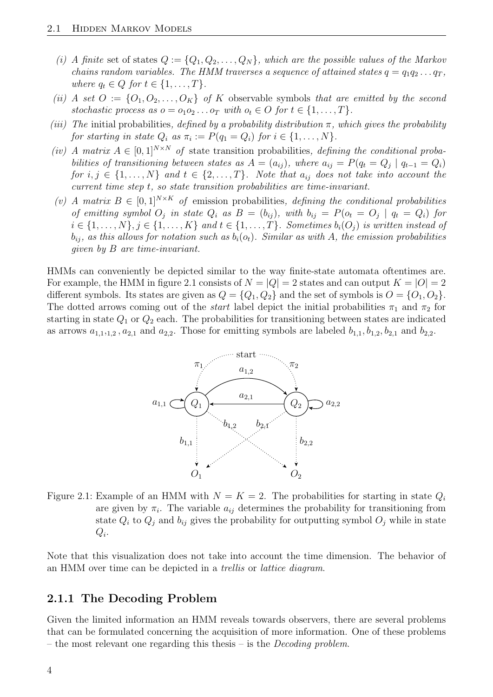- (i) A finite set of states  $Q := \{Q_1, Q_2, \ldots, Q_N\}$ , which are the possible values of the Markov chains random variables. The HMM traverses a sequence of attained states  $q = q_1 q_2 \ldots q_T$ , where  $q_t \in Q$  for  $t \in \{1, \ldots, T\}$ .
- (ii) A set  $O := \{O_1, O_2, \ldots, O_K\}$  of K observable symbols that are emitted by the second stochastic process as  $o = o_1 o_2 \dots o_T$  with  $o_t \in O$  for  $t \in \{1, \dots, T\}$ .
- (iii) The initial probabilities, defined by a probability distribution  $\pi$ , which gives the probability for starting in state  $Q_i$  as  $\pi_i := P(q_1 = Q_i)$  for  $i \in \{1, \ldots, N\}$ .
- (iv) A matrix  $A \in [0,1]^{N \times N}$  of state transition probabilities, defining the conditional probabilities of transitioning between states as  $A = (a_{ij})$ , where  $a_{ij} = P(q_t = Q_j \mid q_{t-1} = Q_i)$ for  $i, j \in \{1, ..., N\}$  and  $t \in \{2, ..., T\}$ . Note that  $a_{ij}$  does not take into account the current time step t, so state transition probabilities are time-invariant.
- (v) A matrix  $B \in [0,1]^{N \times K}$  of emission probabilities, defining the conditional probabilities of emitting symbol  $O_j$  in state  $Q_i$  as  $B = (b_{ij})$ , with  $b_{ij} = P(o_t = O_j \mid q_t = Q_i)$  for  $i \in \{1, \ldots, N\}, j \in \{1, \ldots, K\}$  and  $t \in \{1, \ldots, T\}$ . Sometimes  $b_i(O_j)$  is written instead of  $b_{ij}$ , as this allows for notation such as  $b_i(o_t)$ . Similar as with A, the emission probabilities given by B are time-invariant.

HMMs can conveniently be depicted similar to the way finite-state automata oftentimes are. For example, the HMM in figure [2.1](#page-11-1) consists of  $N = |Q| = 2$  states and can output  $K = |O| = 2$ different symbols. Its states are given as  $Q = \{Q_1, Q_2\}$  and the set of symbols is  $O = \{O_1, O_2\}$ . The dotted arrows coming out of the *start* label depict the initial probabilities  $\pi_1$  and  $\pi_2$  for starting in state  $Q_1$  or  $Q_2$  each. The probabilities for transitioning between states are indicated as arrows  $a_{1,1,1,2}$ ,  $a_{2,1}$  and  $a_{2,2}$ . Those for emitting symbols are labeled  $b_{1,1}, b_{1,2}, b_{2,1}$  and  $b_{2,2}$ .



<span id="page-11-1"></span>Figure 2.1: Example of an HMM with  $N = K = 2$ . The probabilities for starting in state  $Q_i$ are given by  $\pi_i$ . The variable  $a_{ij}$  determines the probability for transitioning from state  $Q_i$  to  $Q_j$  and  $b_{ij}$  gives the probability for outputting symbol  $O_j$  while in state  $Q_i$ .

Note that this visualization does not take into account the time dimension. The behavior of an HMM over time can be depicted in a trellis or lattice diagram.

## <span id="page-11-0"></span>2.1.1 The Decoding Problem

Given the limited information an HMM reveals towards observers, there are several problems that can be formulated concerning the acquisition of more information. One of these problems – the most relevant one regarding this thesis – is the *Decoding problem*.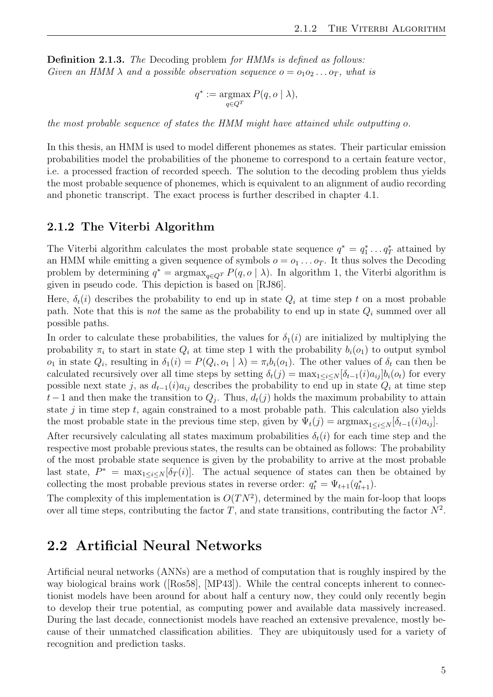Definition 2.1.3. The Decoding problem for HMMs is defined as follows: Given an HMM  $\lambda$  and a possible observation sequence  $o = o_1 o_2 \dots o_T$ , what is

$$
q^* := \operatorname*{argmax}_{q \in Q^T} P(q, o \mid \lambda),
$$

the most probable sequence of states the HMM might have attained while outputting o.

In this thesis, an HMM is used to model different phonemes as states. Their particular emission probabilities model the probabilities of the phoneme to correspond to a certain feature vector, i.e. a processed fraction of recorded speech. The solution to the decoding problem thus yields the most probable sequence of phonemes, which is equivalent to an alignment of audio recording and phonetic transcript. The exact process is further described in chapter [4.1.](#page-34-1)

#### <span id="page-12-0"></span>2.1.2 The Viterbi Algorithm

The Viterbi algorithm calculates the most probable state sequence  $q^* = q_1^* \dots q_T^*$  attained by an HMM while emitting a given sequence of symbols  $o = o_1 \dots o_T$ . It thus solves the Decoding problem by determining  $q^* = \argmax_{q \in Q^T} P(q, o \mid \lambda)$ . In algorithm [1,](#page-13-1) the Viterbi algorithm is given in pseudo code. This depiction is based on [\[RJ86\]](#page-52-0).

Here,  $\delta_t(i)$  describes the probability to end up in state  $Q_i$  at time step t on a most probable path. Note that this is *not* the same as the probability to end up in state  $Q_i$  summed over all possible paths.

In order to calculate these probabilities, the values for  $\delta_1(i)$  are initialized by multiplying the probability  $\pi_i$  to start in state  $Q_i$  at time step 1 with the probability  $b_i(o_1)$  to output symbol  $o_1$  in state  $Q_i$ , resulting in  $\delta_1(i) = P(Q_i, o_1 | \lambda) = \pi_i b_i(o_1)$ . The other values of  $\delta_t$  can then be calculated recursively over all time steps by setting  $\delta_t(j) = \max_{1 \le i \le N} [\delta_{t-1}(i) a_{ij}] b_i(o_t)$  for every possible next state j, as  $d_{t-1}(i)a_{ij}$  describes the probability to end up in state  $Q_i$  at time step  $t-1$  and then make the transition to  $Q_j$ . Thus,  $d_t(j)$  holds the maximum probability to attain state  $j$  in time step  $t$ , again constrained to a most probable path. This calculation also yields the most probable state in the previous time step, given by  $\Psi_t(j) = \arg \max_{1 \leq i \leq N} [\delta_{t-1}(i) a_{ij}].$ 

After recursively calculating all states maximum probabilities  $\delta_t(i)$  for each time step and the respective most probable previous states, the results can be obtained as follows: The probability of the most probable state sequence is given by the probability to arrive at the most probable last state,  $P^* = \max_{1 \leq i \leq N} [\delta_T(i)]$ . The actual sequence of states can then be obtained by collecting the most probable previous states in reverse order:  $q_t^* = \Psi_{t+1}(q_{t+1}^*)$ .

The complexity of this implementation is  $O(TN^2)$ , determined by the main for-loop that loops over all time steps, contributing the factor T, and state transitions, contributing the factor  $N^2$ .

# <span id="page-12-1"></span>2.2 Artificial Neural Networks

Artificial neural networks (ANNs) are a method of computation that is roughly inspired by the way biological brains work ([\[Ros58\]](#page-52-2), [\[MP43\]](#page-52-3)). While the central concepts inherent to connectionist models have been around for about half a century now, they could only recently begin to develop their true potential, as computing power and available data massively increased. During the last decade, connectionist models have reached an extensive prevalence, mostly because of their unmatched classification abilities. They are ubiquitously used for a variety of recognition and prediction tasks.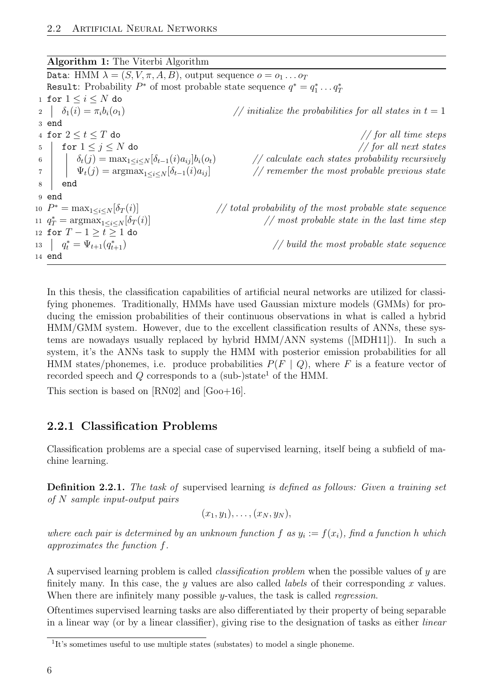<span id="page-13-1"></span>

| <b>Algorithm 1:</b> The Viterbi Algorithm                                                                                                              |                                                                     |  |  |  |  |
|--------------------------------------------------------------------------------------------------------------------------------------------------------|---------------------------------------------------------------------|--|--|--|--|
| Data: HMM $\lambda = (S, V, \pi, A, B)$ , output sequence $o = o_1 \dots o_T$                                                                          |                                                                     |  |  |  |  |
| <b>Result:</b> Probability $P^*$ of most probable state sequence $q^* = q_1^* \dots q_T^*$                                                             |                                                                     |  |  |  |  |
| 1 for $1 \leq i \leq N$ do                                                                                                                             |                                                                     |  |  |  |  |
| 2 $\delta_1(i) = \pi_i b_i(o_1)$                                                                                                                       | // initialize the probabilities for all states in $t=1$             |  |  |  |  |
| 3 end                                                                                                                                                  |                                                                     |  |  |  |  |
| 4 for $2 \leq t \leq T$ do                                                                                                                             | $//$ for all time steps                                             |  |  |  |  |
| for $1\leq j\leq N$ do<br>5                                                                                                                            | $//$ for all next states                                            |  |  |  |  |
|                                                                                                                                                        | $\frac{1}{2}$ calculate each states probability recursively         |  |  |  |  |
| 6 $\delta_t(j) = \max_{1 \le i \le N} [\delta_{t-1}(i)a_{ij}] b_i(o_t)$<br>$\Psi_t(j) = \operatorname{argmax}_{1 \le i \le N} [\delta_{t-1}(i)a_{ij}]$ | $\frac{1}{\sqrt{2}}$ remember the most probable previous state      |  |  |  |  |
| end<br>8                                                                                                                                               |                                                                     |  |  |  |  |
| 9 end                                                                                                                                                  |                                                                     |  |  |  |  |
| 10 $P^* = \max_{1 \leq i \leq N} [\delta_T(i)]$                                                                                                        | $\frac{1}{1}$ total probability of the most probable state sequence |  |  |  |  |
| 11 $q_T^* = \arg\max_{1 \leq i \leq N} [\delta_T(i)]$                                                                                                  | $\frac{1}{\sqrt{2}}$ most probable state in the last time step      |  |  |  |  |
| 12 for $T - 1 > t > 1$ do                                                                                                                              |                                                                     |  |  |  |  |
| 13 $q_t^* = \Psi_{t+1}(q_{t+1}^*)$                                                                                                                     | $\frac{1}{2}$ build the most probable state sequence                |  |  |  |  |
| $14$ end                                                                                                                                               |                                                                     |  |  |  |  |

In this thesis, the classification capabilities of artificial neural networks are utilized for classifying phonemes. Traditionally, HMMs have used Gaussian mixture models (GMMs) for producing the emission probabilities of their continuous observations in what is called a hybrid HMM/GMM system. However, due to the excellent classification results of ANNs, these systems are nowadays usually replaced by hybrid HMM/ANN systems ([\[MDH11\]](#page-53-4)). In such a system, it's the ANNs task to supply the HMM with posterior emission probabilities for all HMM states/phonemes, i.e. produce probabilities  $P(F | Q)$ , where F is a feature vector of recorded speech and  $Q$  corresponds to a (sub-)state<sup>[1](#page-13-2)</sup> of the HMM.

This section is based on [\[RN02\]](#page-53-5) and [\[Goo+16\]](#page-54-2).

## <span id="page-13-0"></span>2.2.1 Classification Problems

Classification problems are a special case of supervised learning, itself being a subfield of machine learning.

Definition 2.2.1. The task of supervised learning is defined as follows: Given a training set of N sample input-output pairs

$$
(x_1,y_1),\ldots,(x_N,y_N),
$$

where each pair is determined by an unknown function f as  $y_i := f(x_i)$ , find a function h which approximates the function f.

A supervised learning problem is called classification problem when the possible values of y are finitely many. In this case, the y values are also called *labels* of their corresponding x values. When there are infinitely many possible  $y$ -values, the task is called *regression*.

Oftentimes supervised learning tasks are also differentiated by their property of being separable in a linear way (or by a linear classifier), giving rise to the designation of tasks as either linear

<span id="page-13-2"></span><sup>&</sup>lt;sup>1</sup>It's sometimes useful to use multiple states (substates) to model a single phoneme.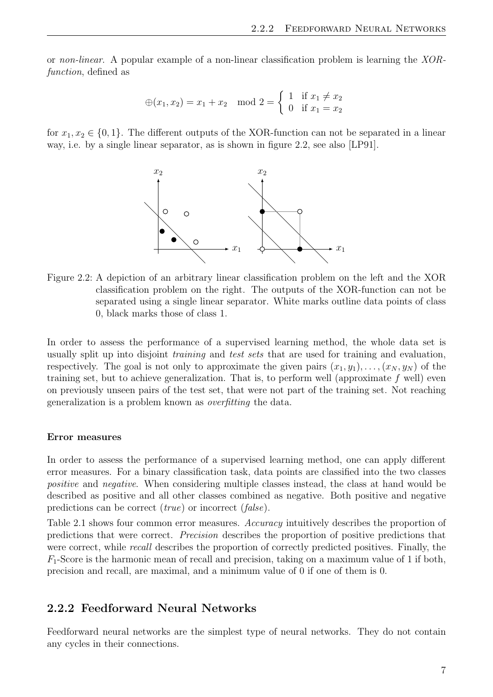or non-linear. A popular example of a non-linear classification problem is learning the XORfunction, defined as

$$
\oplus(x_1, x_2) = x_1 + x_2 \mod 2 = \begin{cases} 1 & \text{if } x_1 \neq x_2 \\ 0 & \text{if } x_1 = x_2 \end{cases}
$$

for  $x_1, x_2 \in \{0, 1\}$ . The different outputs of the XOR-function can not be separated in a linear way, i.e. by a single linear separator, as is shown in figure [2.2,](#page-14-1) see also [\[LP91\]](#page-52-4).



<span id="page-14-1"></span>Figure 2.2: A depiction of an arbitrary linear classification problem on the left and the XOR classification problem on the right. The outputs of the XOR-function can not be separated using a single linear separator. White marks outline data points of class 0, black marks those of class 1.

In order to assess the performance of a supervised learning method, the whole data set is usually split up into disjoint training and test sets that are used for training and evaluation, respectively. The goal is not only to approximate the given pairs  $(x_1, y_1), \ldots, (x_N, y_N)$  of the training set, but to achieve generalization. That is, to perform well (approximate  $f$  well) even on previously unseen pairs of the test set, that were not part of the training set. Not reaching generalization is a problem known as overfitting the data.

#### Error measures

In order to assess the performance of a supervised learning method, one can apply different error measures. For a binary classification task, data points are classified into the two classes positive and negative. When considering multiple classes instead, the class at hand would be described as positive and all other classes combined as negative. Both positive and negative predictions can be correct (true) or incorrect (false).

Table [2.1](#page-15-0) shows four common error measures. Accuracy intuitively describes the proportion of predictions that were correct. Precision describes the proportion of positive predictions that were correct, while *recall* describes the proportion of correctly predicted positives. Finally, the  $F_1$ -Score is the harmonic mean of recall and precision, taking on a maximum value of 1 if both, precision and recall, are maximal, and a minimum value of 0 if one of them is 0.

#### <span id="page-14-0"></span>2.2.2 Feedforward Neural Networks

Feedforward neural networks are the simplest type of neural networks. They do not contain any cycles in their connections.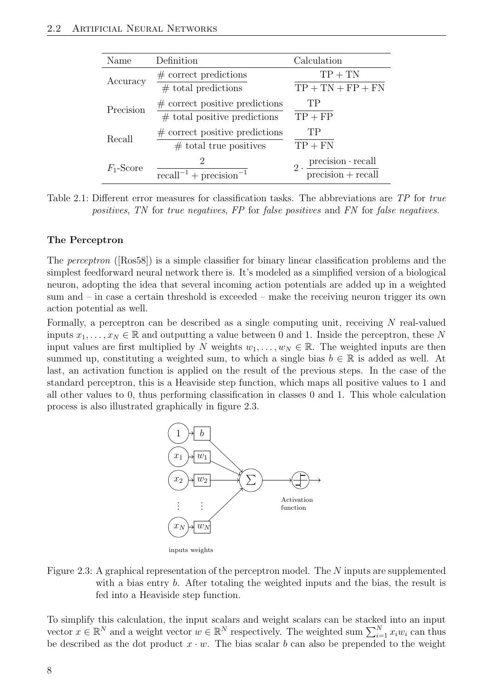| Name         | Definition                                                          | Calculation                                                                                         |
|--------------|---------------------------------------------------------------------|-----------------------------------------------------------------------------------------------------|
| Accuracy     | $#$ correct predictions<br>$#$ total predictions                    | $TP + TN$<br>$TP + TN + FP + FN$                                                                    |
| Precision    | $\#$ correct positive predictions<br>$#$ total positive predictions | TP<br>$TP + FP$                                                                                     |
| Recall       | $\#$ correct positive predictions<br>$#$ total true positives       | TP<br>$TP + FN$                                                                                     |
| $F_1$ -Score | $\mathfrak{D}_{\mathfrak{p}}$<br>$recall^{-1} + precision^{-1}$     | $2 \cdot \frac{\text{precision} \cdot \text{recall}}{\ }$<br>$\overline{\text{precision}}$ + recall |

<span id="page-15-0"></span>Table 2.1: Different error measures for classification tasks. The abbreviations are TP for true positives, TN for true negatives, FP for false positives and FN for false negatives.

#### The Perceptron

The perceptron ([\[Ros58\]](#page-52-2)) is a simple classifier for binary linear classification problems and the simplest feedforward neural network there is. It's modeled as a simplified version of a biological neuron, adopting the idea that several incoming action potentials are added up in a weighted sum and – in case a certain threshold is exceeded – make the receiving neuron trigger its own action potential as well.

Formally, a perceptron can be described as a single computing unit, receiving N real-valued inputs  $x_1, \ldots, x_N \in \mathbb{R}$  and outputting a value between 0 and 1. Inside the perceptron, these N input values are first multiplied by N weights  $w_1, \ldots, w_N \in \mathbb{R}$ . The weighted inputs are then summed up, constituting a weighted sum, to which a single bias  $b \in \mathbb{R}$  is added as well. At last, an activation function is applied on the result of the previous steps. In the case of the standard perceptron, this is a Heaviside step function, which maps all positive values to 1 and all other values to 0, thus performing classification in classes 0 and 1. This whole calculation process is also illustrated graphically in figure [2.3.](#page-15-1)



<span id="page-15-1"></span>Figure 2.3: A graphical representation of the perceptron model. The N inputs are supplemented with a bias entry b. After totaling the weighted inputs and the bias, the result is fed into a Heaviside step function.

To simplify this calculation, the input scalars and weight scalars can be stacked into an input vector  $x \in \mathbb{R}^N$  and a weight vector  $w \in \mathbb{R}^N$  respectively. The weighted sum  $\sum_{i=1}^N x_iw_i$  can thus be described as the dot product  $x \cdot w$ . The bias scalar b can also be prepended to the weight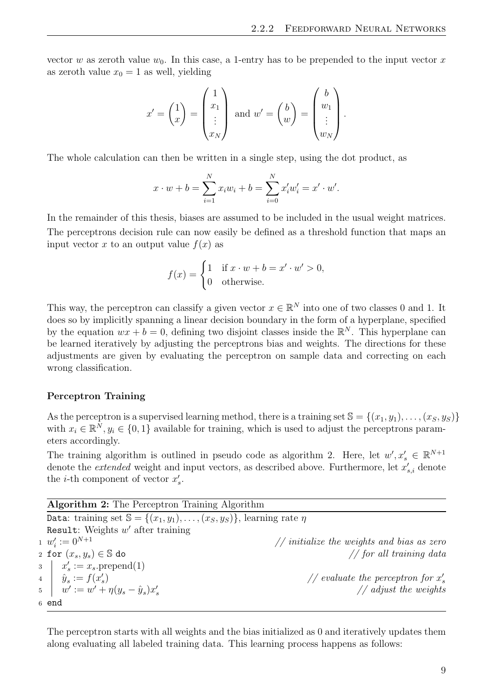vector w as zeroth value  $w_0$ . In this case, a 1-entry has to be prepended to the input vector x as zeroth value  $x_0 = 1$  as well, yielding

$$
x' = \begin{pmatrix} 1 \\ x \end{pmatrix} = \begin{pmatrix} 1 \\ x_1 \\ \vdots \\ x_N \end{pmatrix} \text{ and } w' = \begin{pmatrix} b \\ w \end{pmatrix} = \begin{pmatrix} b \\ w_1 \\ \vdots \\ w_N \end{pmatrix}.
$$

The whole calculation can then be written in a single step, using the dot product, as

$$
x \cdot w + b = \sum_{i=1}^{N} x_i w_i + b = \sum_{i=0}^{N} x'_i w'_i = x' \cdot w'.
$$

In the remainder of this thesis, biases are assumed to be included in the usual weight matrices. The perceptrons decision rule can now easily be defined as a threshold function that maps an input vector x to an output value  $f(x)$  as

$$
f(x) = \begin{cases} 1 & \text{if } x \cdot w + b = x' \cdot w' > 0, \\ 0 & \text{otherwise.} \end{cases}
$$

This way, the perceptron can classify a given vector  $x \in \mathbb{R}^N$  into one of two classes 0 and 1. It does so by implicitly spanning a linear decision boundary in the form of a hyperplane, specified by the equation  $wx + b = 0$ , defining two disjoint classes inside the  $\mathbb{R}^N$ . This hyperplane can be learned iteratively by adjusting the perceptrons bias and weights. The directions for these adjustments are given by evaluating the perceptron on sample data and correcting on each wrong classification.

#### Perceptron Training

As the perceptron is a supervised learning method, there is a training set  $\mathbb{S} = \{(x_1, y_1), \ldots, (x_S, y_S)\}\$ with  $x_i \in \mathbb{R}^N, y_i \in \{0, 1\}$  available for training, which is used to adjust the perceptrons parameters accordingly.

The training algorithm is outlined in pseudo code as algorithm [2.](#page-16-0) Here, let  $w', x'_{s} \in \mathbb{R}^{N+1}$ denote the *extended* weight and input vectors, as described above. Furthermore, let  $x'_{s,i}$  denote the *i*-th component of vector  $x'_s$ .

<span id="page-16-0"></span>

| <b>Algorithm 2:</b> The Perceptron Training Algorithm                                       |                                                       |
|---------------------------------------------------------------------------------------------|-------------------------------------------------------|
| Data: training set $\mathbb{S} = \{(x_1, y_1), \ldots, (x_S, y_S)\}\,$ learning rate $\eta$ |                                                       |
| Result: Weights $w'$ after training                                                         |                                                       |
| 1 $w'_i := 0^{N+1}$                                                                         | $\frac{1}{1}$ initialize the weights and bias as zero |
| 2 for $(x_s, y_s) \in \mathbb{S}$ do                                                        | $\frac{1}{\pi}$ for all training data                 |
| $x'_{s} := x_{s}$ .prepend(1)                                                               |                                                       |
| 4 $\hat{y}_s := f(x'_s)$                                                                    | // evaluate the perceptron for $x'_{s}$               |
| 5 $w' := w' + \eta(y_s - \hat{y}_s)x'_s$                                                    | $\frac{1}{4}$ adjust the weights                      |
| $6$ end                                                                                     |                                                       |

The perceptron starts with all weights and the bias initialized as 0 and iteratively updates them along evaluating all labeled training data. This learning process happens as follows: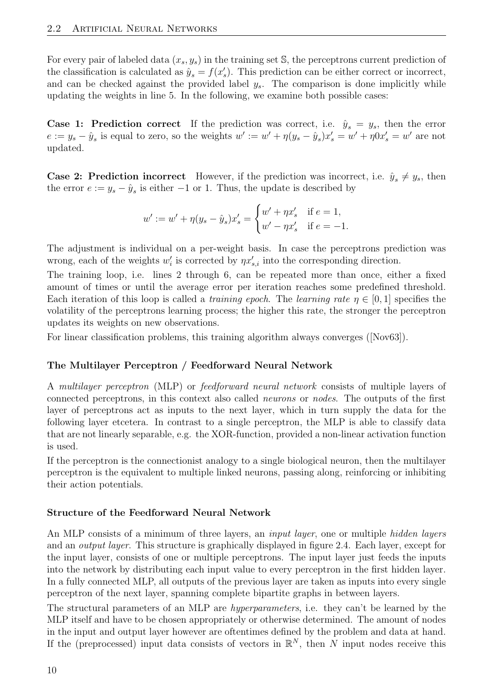For every pair of labeled data  $(x_s, y_s)$  in the training set S, the perceptrons current prediction of the classification is calculated as  $\hat{y}_s = f(x'_s)$ . This prediction can be either correct or incorrect, and can be checked against the provided label  $y_s$ . The comparison is done implicitly while updating the weights in line 5. In the following, we examine both possible cases:

**Case 1: Prediction correct** If the prediction was correct, i.e.  $\hat{y}_s = y_s$ , then the error  $e := y_s - \hat{y}_s$  is equal to zero, so the weights  $w' := w' + \eta(y_s - \hat{y}_s)x'_s = w' + \eta 0x'_s = w'$  are not updated.

**Case 2: Prediction incorrect** However, if the prediction was incorrect, i.e.  $\hat{y}_s \neq y_s$ , then the error  $e := y_s - \hat{y}_s$  is either  $-1$  or 1. Thus, the update is described by

$$
w' := w' + \eta (y_s - \hat{y}_s) x'_s = \begin{cases} w' + \eta x'_s & \text{if } e = 1, \\ w' - \eta x'_s & \text{if } e = -1. \end{cases}
$$

The adjustment is individual on a per-weight basis. In case the perceptrons prediction was wrong, each of the weights  $w_i'$  is corrected by  $\eta x_{s,i}'$  into the corresponding direction.

The training loop, i.e. lines 2 through 6, can be repeated more than once, either a fixed amount of times or until the average error per iteration reaches some predefined threshold. Each iteration of this loop is called a *training epoch*. The *learning rate*  $\eta \in [0,1]$  specifies the volatility of the perceptrons learning process; the higher this rate, the stronger the perceptron updates its weights on new observations.

For linear classification problems, this training algorithm always converges ([\[Nov63\]](#page-52-5)).

## The Multilayer Perceptron / Feedforward Neural Network

A multilayer perceptron (MLP) or feedforward neural network consists of multiple layers of connected perceptrons, in this context also called neurons or nodes. The outputs of the first layer of perceptrons act as inputs to the next layer, which in turn supply the data for the following layer etcetera. In contrast to a single perceptron, the MLP is able to classify data that are not linearly separable, e.g. the XOR-function, provided a non-linear activation function is used.

If the perceptron is the connectionist analogy to a single biological neuron, then the multilayer perceptron is the equivalent to multiple linked neurons, passing along, reinforcing or inhibiting their action potentials.

#### Structure of the Feedforward Neural Network

An MLP consists of a minimum of three layers, an *input layer*, one or multiple *hidden layers* and an output layer. This structure is graphically displayed in figure [2.4.](#page-18-0) Each layer, except for the input layer, consists of one or multiple perceptrons. The input layer just feeds the inputs into the network by distributing each input value to every perceptron in the first hidden layer. In a fully connected MLP, all outputs of the previous layer are taken as inputs into every single perceptron of the next layer, spanning complete bipartite graphs in between layers.

The structural parameters of an MLP are hyperparameters, i.e. they can't be learned by the MLP itself and have to be chosen appropriately or otherwise determined. The amount of nodes in the input and output layer however are oftentimes defined by the problem and data at hand. If the (preprocessed) input data consists of vectors in  $\mathbb{R}^N$ , then N input nodes receive this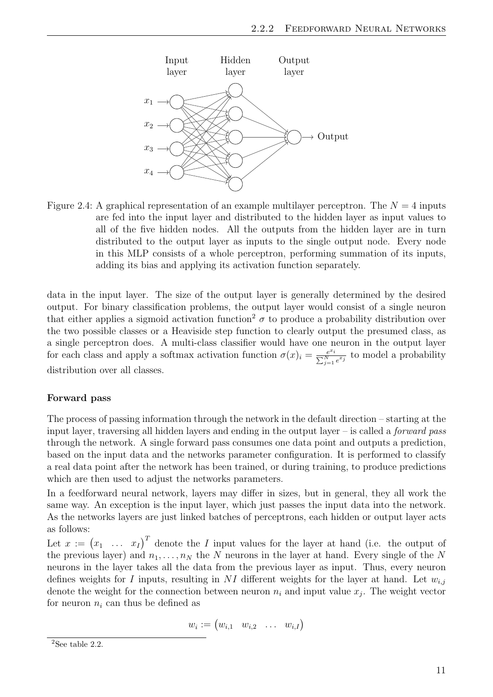

<span id="page-18-0"></span>Figure 2.4: A graphical representation of an example multilayer perceptron. The  $N = 4$  inputs are fed into the input layer and distributed to the hidden layer as input values to all of the five hidden nodes. All the outputs from the hidden layer are in turn distributed to the output layer as inputs to the single output node. Every node in this MLP consists of a whole perceptron, performing summation of its inputs, adding its bias and applying its activation function separately.

data in the input layer. The size of the output layer is generally determined by the desired output. For binary classification problems, the output layer would consist of a single neuron that either applies a sigmoid activation function<sup>[2](#page-18-1)</sup>  $\sigma$  to produce a probability distribution over the two possible classes or a Heaviside step function to clearly output the presumed class, as a single perceptron does. A multi-class classifier would have one neuron in the output layer for each class and apply a softmax activation function  $\sigma(x)_i = \frac{e^{x_i}}{\nabla N}$  $\frac{e^{x_i}}{\sum_{j=1}^N e^{x_j}}$  to model a probability distribution over all classes.

#### Forward pass

The process of passing information through the network in the default direction – starting at the input layer, traversing all hidden layers and ending in the output layer – is called a *forward pass* through the network. A single forward pass consumes one data point and outputs a prediction, based on the input data and the networks parameter configuration. It is performed to classify a real data point after the network has been trained, or during training, to produce predictions which are then used to adjust the networks parameters.

In a feedforward neural network, layers may differ in sizes, but in general, they all work the same way. An exception is the input layer, which just passes the input data into the network. As the networks layers are just linked batches of perceptrons, each hidden or output layer acts as follows:

Let  $x := (x_1 \dots x_I)^T$  denote the I input values for the layer at hand (i.e. the output of the previous layer) and  $n_1, \ldots, n_N$  the N neurons in the layer at hand. Every single of the N neurons in the layer takes all the data from the previous layer as input. Thus, every neuron defines weights for I inputs, resulting in NI different weights for the layer at hand. Let  $w_{i,j}$ denote the weight for the connection between neuron  $n_i$  and input value  $x_j$ . The weight vector for neuron  $n_i$  can thus be defined as

$$
w_i := \begin{pmatrix} w_{i,1} & w_{i,2} & \dots & w_{i,I} \end{pmatrix}
$$

<span id="page-18-1"></span> $2$ See table [2.2.](#page-20-1)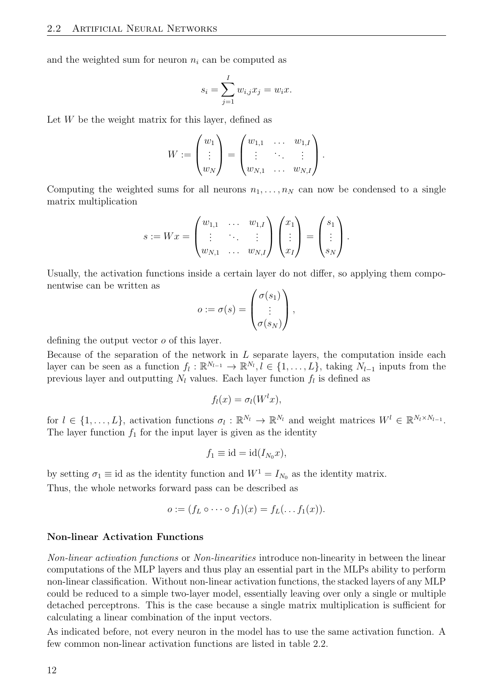and the weighted sum for neuron  $n_i$  can be computed as

$$
s_i = \sum_{j=1}^I w_{i,j} x_j = w_i x.
$$

Let  $W$  be the weight matrix for this layer, defined as

$$
W := \begin{pmatrix} w_1 \\ \vdots \\ w_N \end{pmatrix} = \begin{pmatrix} w_{1,1} & \dots & w_{1,I} \\ \vdots & \ddots & \vdots \\ w_{N,1} & \dots & w_{N,I} \end{pmatrix}.
$$

Computing the weighted sums for all neurons  $n_1, \ldots, n_N$  can now be condensed to a single matrix multiplication

$$
s := Wx = \begin{pmatrix} w_{1,1} & \cdots & w_{1,I} \\ \vdots & \ddots & \vdots \\ w_{N,1} & \cdots & w_{N,I} \end{pmatrix} \begin{pmatrix} x_1 \\ \vdots \\ x_I \end{pmatrix} = \begin{pmatrix} s_1 \\ \vdots \\ s_N \end{pmatrix}.
$$

Usually, the activation functions inside a certain layer do not differ, so applying them componentwise can be written as

$$
o := \sigma(s) = \begin{pmatrix} \sigma(s_1) \\ \vdots \\ \sigma(s_N) \end{pmatrix},
$$

defining the output vector o of this layer.

Because of the separation of the network in  $L$  separate layers, the computation inside each layer can be seen as a function  $f_l: \mathbb{R}^{N_{l-1}} \to \mathbb{R}^{N_l}, l \in \{1,\ldots,L\}$ , taking  $N_{l-1}$  inputs from the previous layer and outputting  $N_l$  values. Each layer function  $f_l$  is defined as

$$
f_l(x) = \sigma_l(W^lx),
$$

for  $l \in \{1,\ldots,L\}$ , activation functions  $\sigma_l : \mathbb{R}^{N_l} \to \mathbb{R}^{N_l}$  and weight matrices  $W^l \in \mathbb{R}^{N_l \times N_{l-1}}$ . The layer function  $f_1$  for the input layer is given as the identity

$$
f_1 \equiv \mathrm{id} = \mathrm{id}(I_{N_0}x),
$$

by setting  $\sigma_1 \equiv id$  as the identity function and  $W^1 = I_{N_0}$  as the identity matrix.

Thus, the whole networks forward pass can be described as

$$
o := (f_L \circ \cdots \circ f_1)(x) = f_L(\ldots f_1(x)).
$$

#### Non-linear Activation Functions

Non-linear activation functions or Non-linearities introduce non-linearity in between the linear computations of the MLP layers and thus play an essential part in the MLPs ability to perform non-linear classification. Without non-linear activation functions, the stacked layers of any MLP could be reduced to a simple two-layer model, essentially leaving over only a single or multiple detached perceptrons. This is the case because a single matrix multiplication is sufficient for calculating a linear combination of the input vectors.

As indicated before, not every neuron in the model has to use the same activation function. A few common non-linear activation functions are listed in table [2.2.](#page-20-1)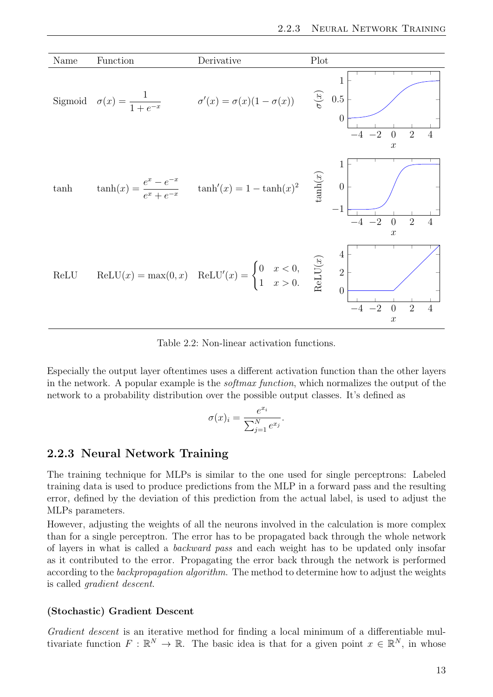

<span id="page-20-1"></span>Table 2.2: Non-linear activation functions.

Especially the output layer oftentimes uses a different activation function than the other layers in the network. A popular example is the *softmax function*, which normalizes the output of the network to a probability distribution over the possible output classes. It's defined as

$$
\sigma(x)_i = \frac{e^{x_i}}{\sum_{j=1}^N e^{x_j}}.
$$

## <span id="page-20-0"></span>2.2.3 Neural Network Training

The training technique for MLPs is similar to the one used for single perceptrons: Labeled training data is used to produce predictions from the MLP in a forward pass and the resulting error, defined by the deviation of this prediction from the actual label, is used to adjust the MLPs parameters.

However, adjusting the weights of all the neurons involved in the calculation is more complex than for a single perceptron. The error has to be propagated back through the whole network of layers in what is called a backward pass and each weight has to be updated only insofar as it contributed to the error. Propagating the error back through the network is performed according to the *backpropagation algorithm*. The method to determine how to adjust the weights is called gradient descent.

#### (Stochastic) Gradient Descent

Gradient descent is an iterative method for finding a local minimum of a differentiable multivariate function  $F: \mathbb{R}^N \to \mathbb{R}$ . The basic idea is that for a given point  $x \in \mathbb{R}^N$ , in whose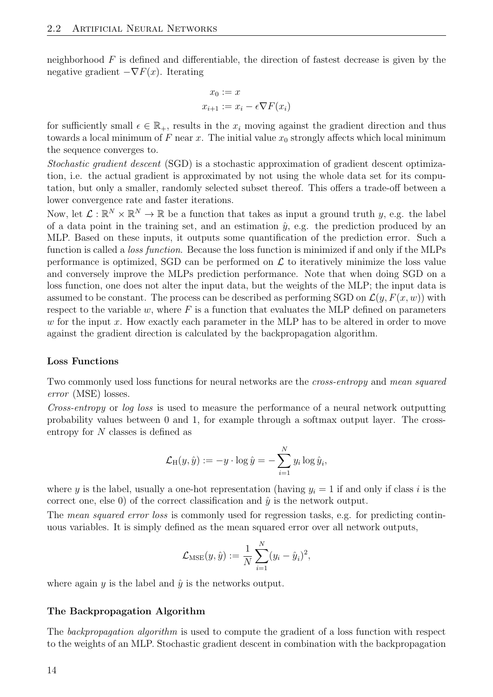neighborhood  $F$  is defined and differentiable, the direction of fastest decrease is given by the negative gradient  $-\nabla F(x)$ . Iterating

$$
x_0 := x
$$

$$
x_{i+1} := x_i - \epsilon \nabla F(x_i)
$$

for sufficiently small  $\epsilon \in \mathbb{R}_+$ , results in the  $x_i$  moving against the gradient direction and thus towards a local minimum of F near x. The initial value  $x_0$  strongly affects which local minimum the sequence converges to.

Stochastic gradient descent (SGD) is a stochastic approximation of gradient descent optimization, i.e. the actual gradient is approximated by not using the whole data set for its computation, but only a smaller, randomly selected subset thereof. This offers a trade-off between a lower convergence rate and faster iterations.

Now, let  $\mathcal{L}: \mathbb{R}^N \times \mathbb{R}^N \to \mathbb{R}$  be a function that takes as input a ground truth y, e.g. the label of a data point in the training set, and an estimation  $\hat{y}$ , e.g. the prediction produced by an MLP. Based on these inputs, it outputs some quantification of the prediction error. Such a function is called a loss function. Because the loss function is minimized if and only if the MLPs performance is optimized, SGD can be performed on  $\mathcal L$  to iteratively minimize the loss value and conversely improve the MLPs prediction performance. Note that when doing SGD on a loss function, one does not alter the input data, but the weights of the MLP; the input data is assumed to be constant. The process can be described as performing SGD on  $\mathcal{L}(y, F(x, w))$  with respect to the variable w, where  $F$  is a function that evaluates the MLP defined on parameters w for the input x. How exactly each parameter in the MLP has to be altered in order to move against the gradient direction is calculated by the backpropagation algorithm.

#### Loss Functions

Two commonly used loss functions for neural networks are the cross-entropy and mean squared error (MSE) losses.

Cross-entropy or log loss is used to measure the performance of a neural network outputting probability values between 0 and 1, for example through a softmax output layer. The crossentropy for N classes is defined as

$$
\mathcal{L}_{\mathrm{H}}(y,\hat{y}) := -y \cdot \log \hat{y} = -\sum_{i=1}^{N} y_i \log \hat{y}_i,
$$

where y is the label, usually a one-hot representation (having  $y_i = 1$  if and only if class i is the correct one, else 0) of the correct classification and  $\hat{y}$  is the network output.

The *mean squared error loss* is commonly used for regression tasks, e.g. for predicting continuous variables. It is simply defined as the mean squared error over all network outputs,

$$
\mathcal{L}_{MSE}(y, \hat{y}) := \frac{1}{N} \sum_{i=1}^{N} (y_i - \hat{y}_i)^2,
$$

where again  $y$  is the label and  $\hat{y}$  is the networks output.

#### The Backpropagation Algorithm

The backpropagation algorithm is used to compute the gradient of a loss function with respect to the weights of an MLP. Stochastic gradient descent in combination with the backpropagation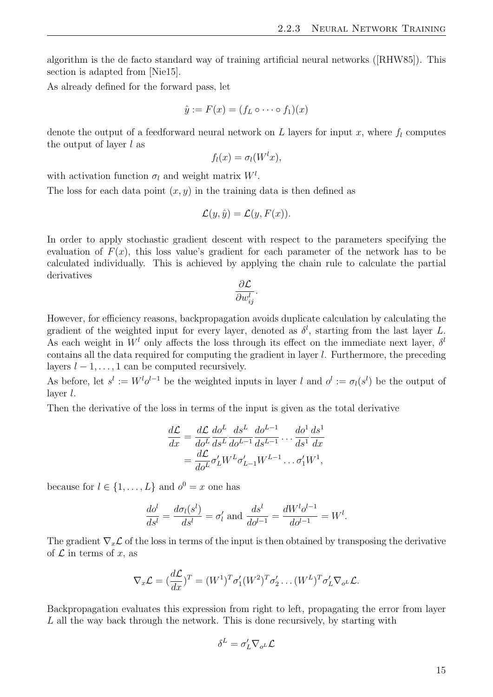algorithm is the de facto standard way of training artificial neural networks ([\[RHW85\]](#page-52-6)). This section is adapted from [\[Nie15\]](#page-53-6).

As already defined for the forward pass, let

$$
\hat{y} := F(x) = (f_L \circ \cdots \circ f_1)(x)
$$

denote the output of a feedforward neural network on L layers for input x, where  $f_l$  computes the output of layer  $l$  as

$$
f_l(x) = \sigma_l(W^lx),
$$

with activation function  $\sigma_l$  and weight matrix  $W^l$ .

The loss for each data point  $(x, y)$  in the training data is then defined as

$$
\mathcal{L}(y,\hat{y}) = \mathcal{L}(y,F(x)).
$$

In order to apply stochastic gradient descent with respect to the parameters specifying the evaluation of  $F(x)$ , this loss value's gradient for each parameter of the network has to be calculated individually. This is achieved by applying the chain rule to calculate the partial derivatives

$$
\frac{\partial \mathcal{L}}{\partial w_{ij}^l}
$$

.

However, for efficiency reasons, backpropagation avoids duplicate calculation by calculating the gradient of the weighted input for every layer, denoted as  $\delta^l$ , starting from the last layer L. As each weight in  $W<sup>l</sup>$  only affects the loss through its effect on the immediate next layer,  $\delta<sup>l</sup>$ contains all the data required for computing the gradient in layer l. Furthermore, the preceding layers  $l - 1, \ldots, 1$  can be computed recursively.

As before, let  $s^l := W^l o^{l-1}$  be the weighted inputs in layer l and  $o^l := \sigma_l(s^l)$  be the output of layer l.

Then the derivative of the loss in terms of the input is given as the total derivative

$$
\frac{d\mathcal{L}}{dx} = \frac{d\mathcal{L}}{d\sigma^L} \frac{d\sigma^L}{ds^L} \frac{ds^L}{d\sigma^{L-1}} \frac{d\sigma^{L-1}}{ds^{L-1}} \dots \frac{d\sigma^1}{ds^1} \frac{ds^1}{dx}
$$

$$
= \frac{d\mathcal{L}}{d\sigma^L} \sigma'_L W^L \sigma'_{L-1} W^{L-1} \dots \sigma'_1 W^1,
$$

because for  $l \in \{1, ..., L\}$  and  $o^0 = x$  one has

$$
\frac{d\sigma^{l}}{ds^{l}} = \frac{d\sigma_{l}(s^{l})}{ds^{l}} = \sigma'_{l} \text{ and } \frac{ds^{l}}{d\sigma^{l-1}} = \frac{dW^{l}\sigma^{l-1}}{d\sigma^{l-1}} = W^{l}.
$$

The gradient  $\nabla_x \mathcal{L}$  of the loss in terms of the input is then obtained by transposing the derivative of  $\mathcal L$  in terms of x, as

$$
\nabla_x \mathcal{L} = (\frac{d\mathcal{L}}{dx})^T = (W^1)^T \sigma'_1 (W^2)^T \sigma'_2 \dots (W^L)^T \sigma'_L \nabla_{\sigma^L} \mathcal{L}.
$$

Backpropagation evaluates this expression from right to left, propagating the error from layer L all the way back through the network. This is done recursively, by starting with

$$
\delta^L = \sigma'_L \nabla_{o^L} \mathcal{L}
$$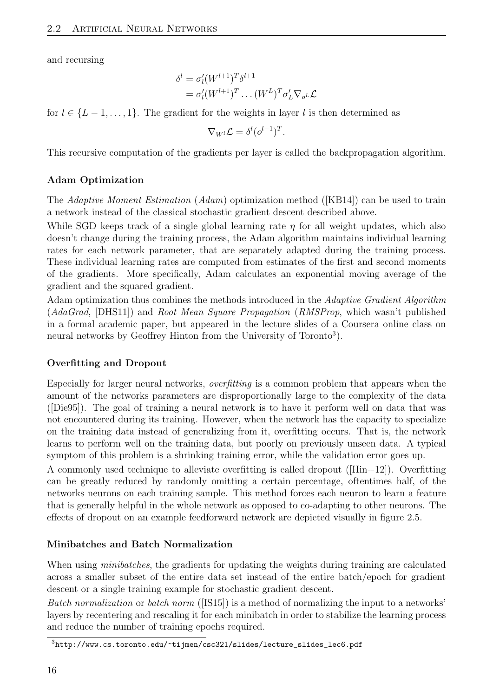and recursing

$$
\delta^{l} = \sigma'_{l}(W^{l+1})^{T} \delta^{l+1}
$$

$$
= \sigma'_{l}(W^{l+1})^{T} \dots (W^{L})^{T} \sigma'_{L} \nabla_{\sigma^{L}} \mathcal{L}
$$

for  $l \in \{L-1,\ldots,1\}$ . The gradient for the weights in layer l is then determined as

$$
\nabla_{W^l}\mathcal{L}=\delta^l(o^{l-1})^T.
$$

This recursive computation of the gradients per layer is called the backpropagation algorithm.

## Adam Optimization

The Adaptive Moment Estimation (Adam) optimization method ([\[KB14\]](#page-53-7)) can be used to train a network instead of the classical stochastic gradient descent described above.

While SGD keeps track of a single global learning rate  $\eta$  for all weight updates, which also doesn't change during the training process, the Adam algorithm maintains individual learning rates for each network parameter, that are separately adapted during the training process. These individual learning rates are computed from estimates of the first and second moments of the gradients. More specifically, Adam calculates an exponential moving average of the gradient and the squared gradient.

Adam optimization thus combines the methods introduced in the Adaptive Gradient Algorithm (AdaGrad, [\[DHS11\]](#page-53-8)) and Root Mean Square Propagation (RMSProp, which wasn't published in a formal academic paper, but appeared in the lecture slides of a Coursera online class on neural networks by Geoffrey Hinton from the University of Toronto<sup>[3](#page-23-0)</sup>).

## Overfitting and Dropout

Especially for larger neural networks, overfitting is a common problem that appears when the amount of the networks parameters are disproportionally large to the complexity of the data ([\[Die95\]](#page-52-7)). The goal of training a neural network is to have it perform well on data that was not encountered during its training. However, when the network has the capacity to specialize on the training data instead of generalizing from it, overfitting occurs. That is, the network learns to perform well on the training data, but poorly on previously unseen data. A typical symptom of this problem is a shrinking training error, while the validation error goes up.

A commonly used technique to alleviate overfitting is called dropout ([\[Hin+12\]](#page-53-9)). Overfitting can be greatly reduced by randomly omitting a certain percentage, oftentimes half, of the networks neurons on each training sample. This method forces each neuron to learn a feature that is generally helpful in the whole network as opposed to co-adapting to other neurons. The effects of dropout on an example feedforward network are depicted visually in figure [2.5.](#page-24-2)

## Minibatches and Batch Normalization

When using *minibatches*, the gradients for updating the weights during training are calculated across a smaller subset of the entire data set instead of the entire batch/epoch for gradient descent or a single training example for stochastic gradient descent.

Batch normalization or batch norm ([\[IS15\]](#page-53-10)) is a method of normalizing the input to a networks' layers by recentering and rescaling it for each minibatch in order to stabilize the learning process and reduce the number of training epochs required.

<span id="page-23-0"></span><sup>3</sup>[http://www.cs.toronto.edu/~tijmen/csc321/slides/lecture\\_slides\\_lec6.pdf](http://www.cs.toronto.edu/~tijmen/csc321/slides/lecture_slides_lec6.pdf)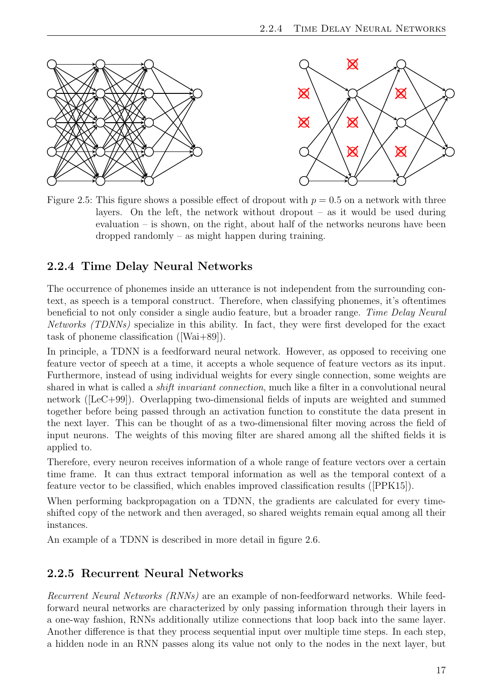

<span id="page-24-2"></span>Figure 2.5: This figure shows a possible effect of dropout with  $p = 0.5$  on a network with three layers. On the left, the network without dropout  $-$  as it would be used during evaluation – is shown, on the right, about half of the networks neurons have been dropped randomly – as might happen during training.

# <span id="page-24-0"></span>2.2.4 Time Delay Neural Networks

The occurrence of phonemes inside an utterance is not independent from the surrounding context, as speech is a temporal construct. Therefore, when classifying phonemes, it's oftentimes beneficial to not only consider a single audio feature, but a broader range. Time Delay Neural Networks (TDNNs) specialize in this ability. In fact, they were first developed for the exact task of phoneme classification ([\[Wai+89\]](#page-52-8)).

In principle, a TDNN is a feedforward neural network. However, as opposed to receiving one feature vector of speech at a time, it accepts a whole sequence of feature vectors as its input. Furthermore, instead of using individual weights for every single connection, some weights are shared in what is called a *shift invariant connection*, much like a filter in a convolutional neural network ([\[LeC+99\]](#page-53-11)). Overlapping two-dimensional fields of inputs are weighted and summed together before being passed through an activation function to constitute the data present in the next layer. This can be thought of as a two-dimensional filter moving across the field of input neurons. The weights of this moving filter are shared among all the shifted fields it is applied to.

Therefore, every neuron receives information of a whole range of feature vectors over a certain time frame. It can thus extract temporal information as well as the temporal context of a feature vector to be classified, which enables improved classification results ([\[PPK15\]](#page-53-12)).

When performing backpropagation on a TDNN, the gradients are calculated for every timeshifted copy of the network and then averaged, so shared weights remain equal among all their instances.

An example of a TDNN is described in more detail in figure [2.6.](#page-25-0)

## <span id="page-24-1"></span>2.2.5 Recurrent Neural Networks

Recurrent Neural Networks (RNNs) are an example of non-feedforward networks. While feedforward neural networks are characterized by only passing information through their layers in a one-way fashion, RNNs additionally utilize connections that loop back into the same layer. Another difference is that they process sequential input over multiple time steps. In each step, a hidden node in an RNN passes along its value not only to the nodes in the next layer, but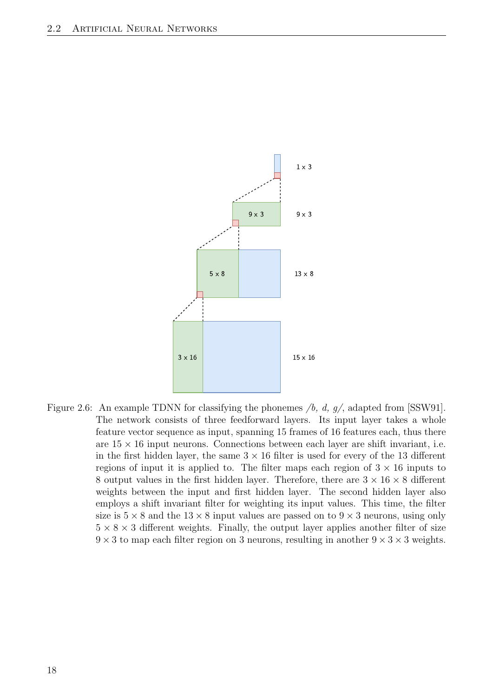

<span id="page-25-0"></span>Figure 2.6: An example TDNN for classifying the phonemes  $/b$ , d, g/, adapted from [\[SSW91\]](#page-52-9). The network consists of three feedforward layers. Its input layer takes a whole feature vector sequence as input, spanning 15 frames of 16 features each, thus there are  $15 \times 16$  input neurons. Connections between each layer are shift invariant, i.e. in the first hidden layer, the same  $3 \times 16$  filter is used for every of the 13 different regions of input it is applied to. The filter maps each region of  $3 \times 16$  inputs to 8 output values in the first hidden layer. Therefore, there are  $3 \times 16 \times 8$  different weights between the input and first hidden layer. The second hidden layer also employs a shift invariant filter for weighting its input values. This time, the filter size is  $5 \times 8$  and the  $13 \times 8$  input values are passed on to  $9 \times 3$  neurons, using only  $5 \times 8 \times 3$  different weights. Finally, the output layer applies another filter of size  $9 \times 3$  to map each filter region on 3 neurons, resulting in another  $9 \times 3 \times 3$  weights.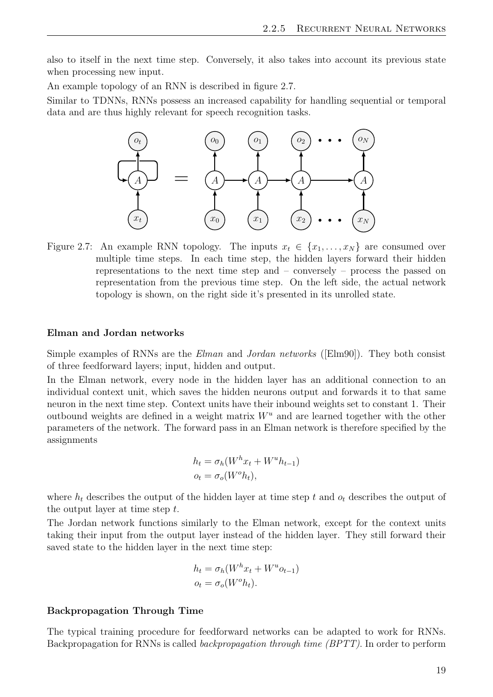also to itself in the next time step. Conversely, it also takes into account its previous state when processing new input.

An example topology of an RNN is described in figure [2.7.](#page-26-0)

Similar to TDNNs, RNNs possess an increased capability for handling sequential or temporal data and are thus highly relevant for speech recognition tasks.



<span id="page-26-0"></span>Figure 2.7: An example RNN topology. The inputs  $x_t \in \{x_1, \ldots, x_N\}$  are consumed over multiple time steps. In each time step, the hidden layers forward their hidden representations to the next time step and – conversely – process the passed on representation from the previous time step. On the left side, the actual network topology is shown, on the right side it's presented in its unrolled state.

#### Elman and Jordan networks

Simple examples of RNNs are the Elman and Jordan networks ([\[Elm90\]](#page-52-10)). They both consist of three feedforward layers; input, hidden and output.

In the Elman network, every node in the hidden layer has an additional connection to an individual context unit, which saves the hidden neurons output and forwards it to that same neuron in the next time step. Context units have their inbound weights set to constant 1. Their outbound weights are defined in a weight matrix  $W^u$  and are learned together with the other parameters of the network. The forward pass in an Elman network is therefore specified by the assignments

$$
h_t = \sigma_h(W^h x_t + W^u h_{t-1})
$$
  

$$
o_t = \sigma_o(W^o h_t),
$$

where  $h_t$  describes the output of the hidden layer at time step t and  $o_t$  describes the output of the output layer at time step t.

The Jordan network functions similarly to the Elman network, except for the context units taking their input from the output layer instead of the hidden layer. They still forward their saved state to the hidden layer in the next time step:

$$
h_t = \sigma_h(W^h x_t + W^u o_{t-1})
$$
  

$$
o_t = \sigma_o(W^o h_t).
$$

#### Backpropagation Through Time

The typical training procedure for feedforward networks can be adapted to work for RNNs. Backpropagation for RNNs is called backpropagation through time (BPTT). In order to perform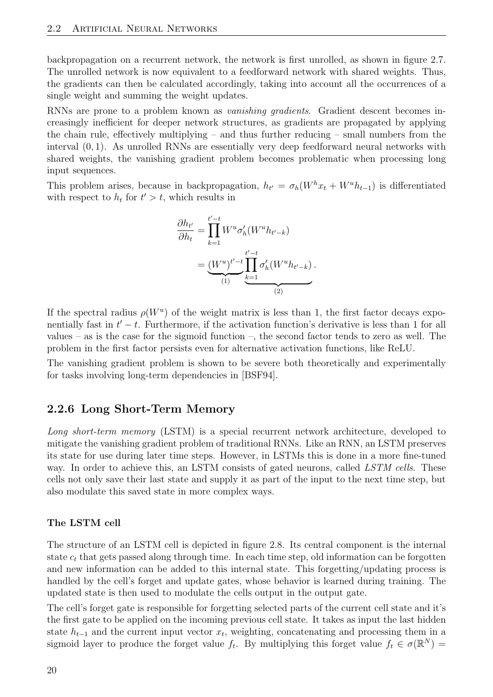backpropagation on a recurrent network, the network is first unrolled, as shown in figure [2.7.](#page-26-0) The unrolled network is now equivalent to a feedforward network with shared weights. Thus, the gradients can then be calculated accordingly, taking into account all the occurrences of a single weight and summing the weight updates.

RNNs are prone to a problem known as *vanishing gradients*. Gradient descent becomes increasingly inefficient for deeper network structures, as gradients are propagated by applying the chain rule, effectively multiplying – and thus further reducing – small numbers from the interval (0, 1). As unrolled RNNs are essentially very deep feedforward neural networks with shared weights, the vanishing gradient problem becomes problematic when processing long input sequences.

This problem arises, because in backpropagation,  $h_{t'} = \sigma_h(W^h x_t + W^u h_{t-1})$  is differentiated with respect to  $h_t$  for  $t' > t$ , which results in

$$
\frac{\partial h_{t'}}{\partial h_t} = \prod_{k=1}^{t'-t} W^u \sigma'_h(W^u h_{t'-k})
$$

$$
= \underbrace{(W^u)^{t'-t}}_{(1)} \prod_{k=1}^{t'-t} \sigma'_h(W^u h_{t'-k})
$$

.

If the spectral radius  $\rho(W^u)$  of the weight matrix is less than 1, the first factor decays exponentially fast in  $t'-t$ . Furthermore, if the activation function's derivative is less than 1 for all values – as is the case for the sigmoid function –, the second factor tends to zero as well. The problem in the first factor persists even for alternative activation functions, like ReLU.

The vanishing gradient problem is shown to be severe both theoretically and experimentally for tasks involving long-term dependencies in [\[BSF94\]](#page-52-11).

#### <span id="page-27-0"></span>2.2.6 Long Short-Term Memory

Long short-term memory (LSTM) is a special recurrent network architecture, developed to mitigate the vanishing gradient problem of traditional RNNs. Like an RNN, an LSTM preserves its state for use during later time steps. However, in LSTMs this is done in a more fine-tuned way. In order to achieve this, an LSTM consists of gated neurons, called LSTM cells. These cells not only save their last state and supply it as part of the input to the next time step, but also modulate this saved state in more complex ways.

#### The LSTM cell

The structure of an LSTM cell is depicted in figure [2.8.](#page-29-0) Its central component is the internal state  $c_t$  that gets passed along through time. In each time step, old information can be forgotten and new information can be added to this internal state. This forgetting/updating process is handled by the cell's forget and update gates, whose behavior is learned during training. The updated state is then used to modulate the cells output in the output gate.

The cell's forget gate is responsible for forgetting selected parts of the current cell state and it's the first gate to be applied on the incoming previous cell state. It takes as input the last hidden state  $h_{t-1}$  and the current input vector  $x_t$ , weighting, concatenating and processing them in a sigmoid layer to produce the forget value  $f_t$ . By multiplying this forget value  $f_t \in \sigma(\mathbb{R}^N)$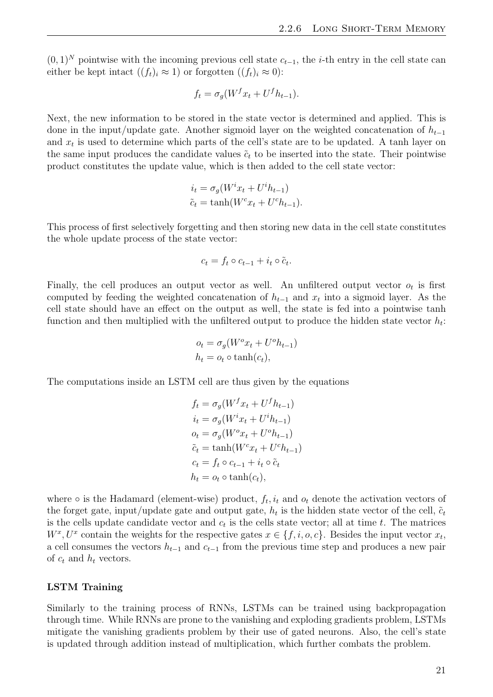$(0, 1)^N$  pointwise with the incoming previous cell state  $c_{t-1}$ , the *i*-th entry in the cell state can either be kept intact  $((f_t)_i \approx 1)$  or forgotten  $((f_t)_i \approx 0)$ :

$$
f_t = \sigma_g(W^f x_t + U^f h_{t-1}).
$$

Next, the new information to be stored in the state vector is determined and applied. This is done in the input/update gate. Another sigmoid layer on the weighted concatenation of  $h_{t-1}$ and  $x_t$  is used to determine which parts of the cell's state are to be updated. A tanh layer on the same input produces the candidate values  $\tilde{c}_t$  to be inserted into the state. Their pointwise product constitutes the update value, which is then added to the cell state vector:

$$
i_t = \sigma_g(W^i x_t + U^i h_{t-1})
$$
  
\n
$$
\tilde{c}_t = \tanh(W^c x_t + U^c h_{t-1}).
$$

This process of first selectively forgetting and then storing new data in the cell state constitutes the whole update process of the state vector:

$$
c_t = f_t \circ c_{t-1} + i_t \circ \tilde{c}_t.
$$

Finally, the cell produces an output vector as well. An unfiltered output vector  $o_t$  is first computed by feeding the weighted concatenation of  $h_{t-1}$  and  $x_t$  into a sigmoid layer. As the cell state should have an effect on the output as well, the state is fed into a pointwise tanh function and then multiplied with the unfiltered output to produce the hidden state vector  $h_t$ :

$$
o_t = \sigma_g(W^o x_t + U^o h_{t-1})
$$
  

$$
h_t = o_t \circ \tanh(c_t),
$$

The computations inside an LSTM cell are thus given by the equations

$$
f_t = \sigma_g(W^f x_t + U^f h_{t-1})
$$
  
\n
$$
i_t = \sigma_g(W^i x_t + U^i h_{t-1})
$$
  
\n
$$
\sigma_t = \sigma_g(W^o x_t + U^o h_{t-1})
$$
  
\n
$$
\tilde{c}_t = \tanh(W^c x_t + U^c h_{t-1})
$$
  
\n
$$
c_t = f_t \circ c_{t-1} + i_t \circ \tilde{c}_t
$$
  
\n
$$
h_t = o_t \circ \tanh(c_t),
$$

where  $\circ$  is the Hadamard (element-wise) product,  $f_t$ ,  $i_t$  and  $o_t$  denote the activation vectors of the forget gate, input/update gate and output gate,  $h_t$  is the hidden state vector of the cell,  $\tilde{c}_t$ is the cells update candidate vector and  $c_t$  is the cells state vector; all at time t. The matrices  $W^x, U^x$  contain the weights for the respective gates  $x \in \{f, i, o, c\}$ . Besides the input vector  $x_t$ , a cell consumes the vectors  $h_{t-1}$  and  $c_{t-1}$  from the previous time step and produces a new pair of  $c_t$  and  $h_t$  vectors.

#### LSTM Training

Similarly to the training process of RNNs, LSTMs can be trained using backpropagation through time. While RNNs are prone to the vanishing and exploding gradients problem, LSTMs mitigate the vanishing gradients problem by their use of gated neurons. Also, the cell's state is updated through addition instead of multiplication, which further combats the problem.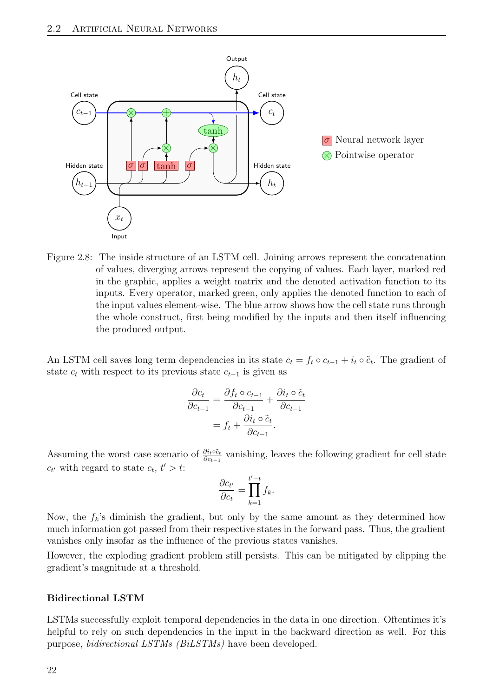

<span id="page-29-0"></span>Figure 2.8: The inside structure of an LSTM cell. Joining arrows represent the concatenation of values, diverging arrows represent the copying of values. Each layer, marked red in the graphic, applies a weight matrix and the denoted activation function to its inputs. Every operator, marked green, only applies the denoted function to each of the input values element-wise. The blue arrow shows how the cell state runs through the whole construct, first being modified by the inputs and then itself influencing the produced output.

An LSTM cell saves long term dependencies in its state  $c_t = f_t \circ c_{t-1} + i_t \circ \tilde{c}_t$ . The gradient of state  $c_t$  with respect to its previous state  $c_{t-1}$  is given as

$$
\frac{\partial c_t}{\partial c_{t-1}} = \frac{\partial f_t \circ c_{t-1}}{\partial c_{t-1}} + \frac{\partial i_t \circ \tilde{c}_t}{\partial c_{t-1}}
$$

$$
= f_t + \frac{\partial i_t \circ \tilde{c}_t}{\partial c_{t-1}}.
$$

Assuming the worst case scenario of  $\frac{\partial i_t \circ \tilde{c}_t}{\partial c_{t-1}}$  vanishing, leaves the following gradient for cell state  $c_{t'}$  with regard to state  $c_t, t' > t$ :

$$
\frac{\partial c_{t'}}{\partial c_t} = \prod_{k=1}^{t'-t} f_k.
$$

Now, the  $f_k$ 's diminish the gradient, but only by the same amount as they determined how much information got passed from their respective states in the forward pass. Thus, the gradient vanishes only insofar as the influence of the previous states vanishes.

However, the exploding gradient problem still persists. This can be mitigated by clipping the gradient's magnitude at a threshold.

#### Bidirectional LSTM

LSTMs successfully exploit temporal dependencies in the data in one direction. Oftentimes it's helpful to rely on such dependencies in the input in the backward direction as well. For this purpose, bidirectional LSTMs (BiLSTMs) have been developed.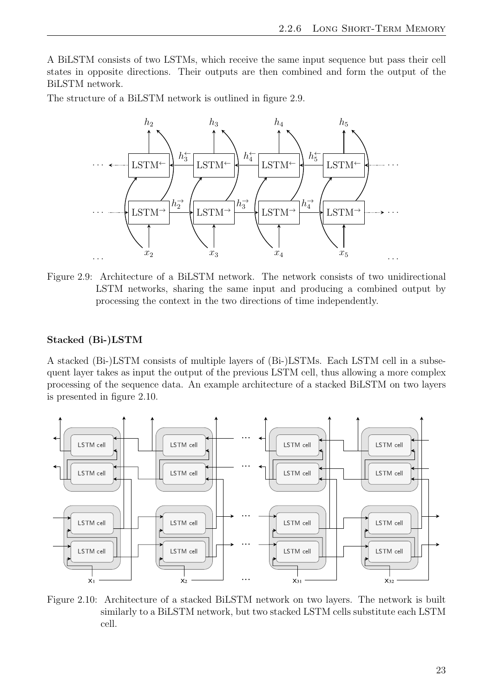A BiLSTM consists of two LSTMs, which receive the same input sequence but pass their cell states in opposite directions. Their outputs are then combined and form the output of the BiLSTM network.

The structure of a BiLSTM network is outlined in figure [2.9.](#page-30-0)



<span id="page-30-0"></span>Figure 2.9: Architecture of a BiLSTM network. The network consists of two unidirectional LSTM networks, sharing the same input and producing a combined output by processing the context in the two directions of time independently.

#### Stacked (Bi-)LSTM

A stacked (Bi-)LSTM consists of multiple layers of (Bi-)LSTMs. Each LSTM cell in a subsequent layer takes as input the output of the previous LSTM cell, thus allowing a more complex processing of the sequence data. An example architecture of a stacked BiLSTM on two layers is presented in figure [2.10.](#page-30-1)



<span id="page-30-1"></span>Figure 2.10: Architecture of a stacked BiLSTM network on two layers. The network is built similarly to a BiLSTM network, but two stacked LSTM cells substitute each LSTM cell.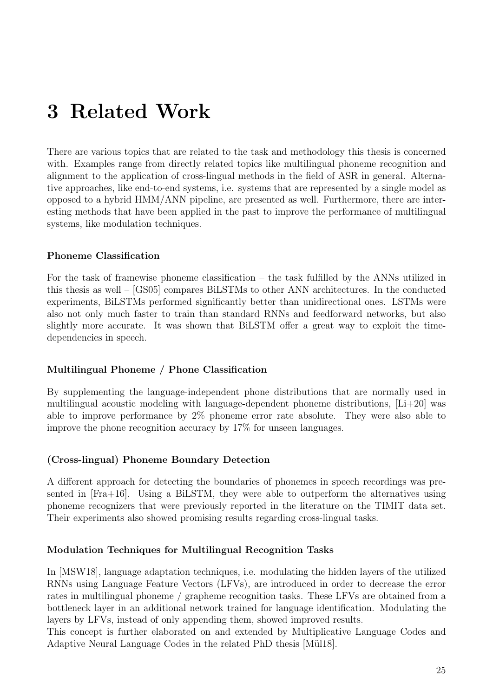# <span id="page-32-0"></span>3 Related Work

There are various topics that are related to the task and methodology this thesis is concerned with. Examples range from directly related topics like multilingual phoneme recognition and alignment to the application of cross-lingual methods in the field of ASR in general. Alternative approaches, like end-to-end systems, i.e. systems that are represented by a single model as opposed to a hybrid HMM/ANN pipeline, are presented as well. Furthermore, there are interesting methods that have been applied in the past to improve the performance of multilingual systems, like modulation techniques.

#### Phoneme Classification

For the task of framewise phoneme classification – the task fulfilled by the ANNs utilized in this thesis as well – [\[GS05\]](#page-53-13) compares BiLSTMs to other ANN architectures. In the conducted experiments, BiLSTMs performed significantly better than unidirectional ones. LSTMs were also not only much faster to train than standard RNNs and feedforward networks, but also slightly more accurate. It was shown that BiLSTM offer a great way to exploit the timedependencies in speech.

#### Multilingual Phoneme / Phone Classification

By supplementing the language-independent phone distributions that are normally used in multilingual acoustic modeling with language-dependent phoneme distributions,  $[L+20]$  was able to improve performance by 2% phoneme error rate absolute. They were also able to improve the phone recognition accuracy by 17% for unseen languages.

#### (Cross-lingual) Phoneme Boundary Detection

A different approach for detecting the boundaries of phonemes in speech recordings was presented in [\[Fra+16\]](#page-54-4). Using a BiLSTM, they were able to outperform the alternatives using phoneme recognizers that were previously reported in the literature on the TIMIT data set. Their experiments also showed promising results regarding cross-lingual tasks.

#### Modulation Techniques for Multilingual Recognition Tasks

In [\[MSW18\]](#page-54-5), language adaptation techniques, i.e. modulating the hidden layers of the utilized RNNs using Language Feature Vectors (LFVs), are introduced in order to decrease the error rates in multilingual phoneme / grapheme recognition tasks. These LFVs are obtained from a bottleneck layer in an additional network trained for language identification. Modulating the layers by LFVs, instead of only appending them, showed improved results.

This concept is further elaborated on and extended by Multiplicative Language Codes and Adaptive Neural Language Codes in the related PhD thesis [Mül18].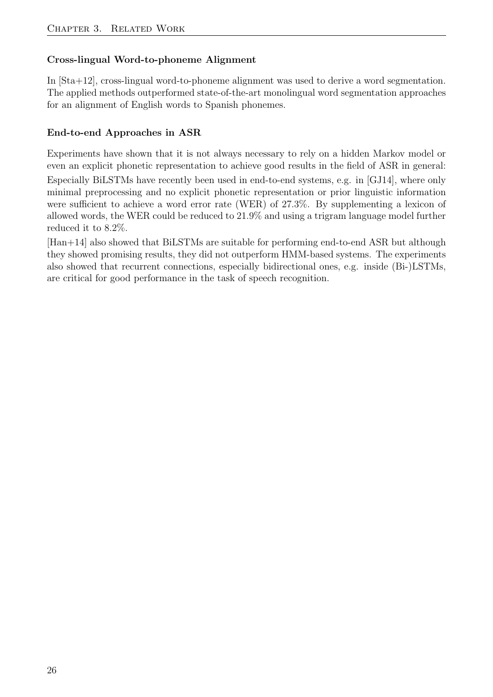## Cross-lingual Word-to-phoneme Alignment

In [\[Sta+12\]](#page-53-14), cross-lingual word-to-phoneme alignment was used to derive a word segmentation. The applied methods outperformed state-of-the-art monolingual word segmentation approaches for an alignment of English words to Spanish phonemes.

## End-to-end Approaches in ASR

Experiments have shown that it is not always necessary to rely on a hidden Markov model or even an explicit phonetic representation to achieve good results in the field of ASR in general:

Especially BiLSTMs have recently been used in end-to-end systems, e.g. in [\[GJ14\]](#page-53-15), where only minimal preprocessing and no explicit phonetic representation or prior linguistic information were sufficient to achieve a word error rate (WER) of 27.3%. By supplementing a lexicon of allowed words, the WER could be reduced to 21.9% and using a trigram language model further reduced it to 8.2%.

[\[Han+14\]](#page-53-2) also showed that BiLSTMs are suitable for performing end-to-end ASR but although they showed promising results, they did not outperform HMM-based systems. The experiments also showed that recurrent connections, especially bidirectional ones, e.g. inside (Bi-)LSTMs, are critical for good performance in the task of speech recognition.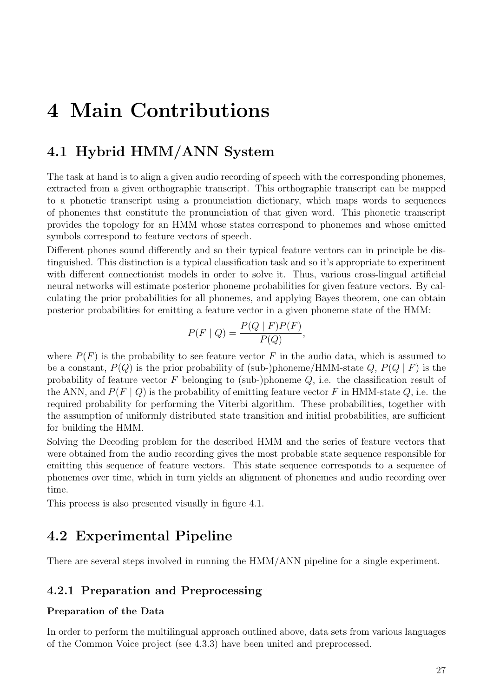# <span id="page-34-0"></span>4 Main Contributions

# <span id="page-34-1"></span>4.1 Hybrid HMM/ANN System

The task at hand is to align a given audio recording of speech with the corresponding phonemes, extracted from a given orthographic transcript. This orthographic transcript can be mapped to a phonetic transcript using a pronunciation dictionary, which maps words to sequences of phonemes that constitute the pronunciation of that given word. This phonetic transcript provides the topology for an HMM whose states correspond to phonemes and whose emitted symbols correspond to feature vectors of speech.

Different phones sound differently and so their typical feature vectors can in principle be distinguished. This distinction is a typical classification task and so it's appropriate to experiment with different connectionist models in order to solve it. Thus, various cross-lingual artificial neural networks will estimate posterior phoneme probabilities for given feature vectors. By calculating the prior probabilities for all phonemes, and applying Bayes theorem, one can obtain posterior probabilities for emitting a feature vector in a given phoneme state of the HMM:

$$
P(F \mid Q) = \frac{P(Q \mid F)P(F)}{P(Q)},
$$

where  $P(F)$  is the probability to see feature vector F in the audio data, which is assumed to be a constant,  $P(Q)$  is the prior probability of (sub-)phoneme/HMM-state Q,  $P(Q | F)$  is the probability of feature vector  $F$  belonging to (sub-)phoneme  $Q$ , i.e. the classification result of the ANN, and  $P(F | Q)$  is the probability of emitting feature vector F in HMM-state Q, i.e. the required probability for performing the Viterbi algorithm. These probabilities, together with the assumption of uniformly distributed state transition and initial probabilities, are sufficient for building the HMM.

Solving the Decoding problem for the described HMM and the series of feature vectors that were obtained from the audio recording gives the most probable state sequence responsible for emitting this sequence of feature vectors. This state sequence corresponds to a sequence of phonemes over time, which in turn yields an alignment of phonemes and audio recording over time.

This process is also presented visually in figure [4.1.](#page-35-0)

# <span id="page-34-2"></span>4.2 Experimental Pipeline

There are several steps involved in running the HMM/ANN pipeline for a single experiment.

## <span id="page-34-3"></span>4.2.1 Preparation and Preprocessing

#### Preparation of the Data

In order to perform the multilingual approach outlined above, data sets from various languages of the Common Voice project (see [4.3.3\)](#page-37-4) have been united and preprocessed.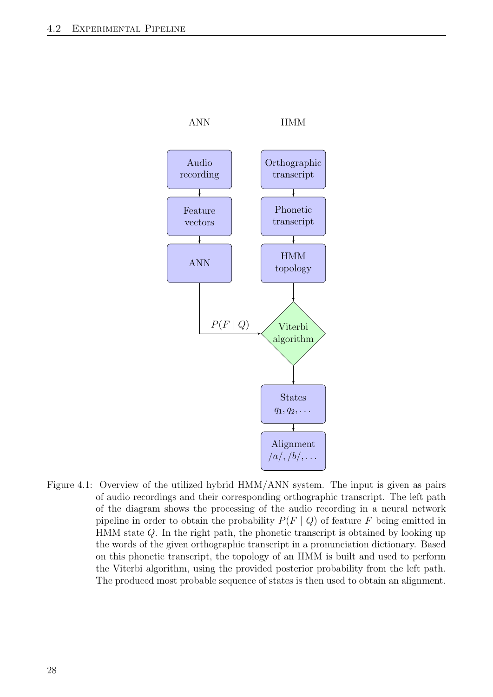

<span id="page-35-0"></span>Figure 4.1: Overview of the utilized hybrid HMM/ANN system. The input is given as pairs of audio recordings and their corresponding orthographic transcript. The left path of the diagram shows the processing of the audio recording in a neural network pipeline in order to obtain the probability  $P(F | Q)$  of feature F being emitted in HMM state Q. In the right path, the phonetic transcript is obtained by looking up the words of the given orthographic transcript in a pronunciation dictionary. Based on this phonetic transcript, the topology of an HMM is built and used to perform the Viterbi algorithm, using the provided posterior probability from the left path. The produced most probable sequence of states is then used to obtain an alignment.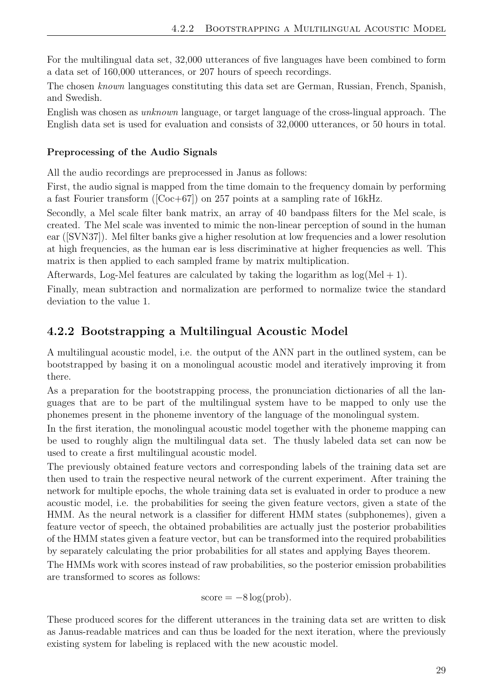For the multilingual data set, 32,000 utterances of five languages have been combined to form a data set of 160,000 utterances, or 207 hours of speech recordings.

The chosen known languages constituting this data set are German, Russian, French, Spanish, and Swedish.

English was chosen as unknown language, or target language of the cross-lingual approach. The English data set is used for evaluation and consists of 32,0000 utterances, or 50 hours in total.

#### Preprocessing of the Audio Signals

All the audio recordings are preprocessed in Janus as follows:

First, the audio signal is mapped from the time domain to the frequency domain by performing a fast Fourier transform ( $[Coc+67]$ ) on 257 points at a sampling rate of 16kHz.

Secondly, a Mel scale filter bank matrix, an array of 40 bandpass filters for the Mel scale, is created. The Mel scale was invented to mimic the non-linear perception of sound in the human ear ([\[SVN37\]](#page-52-13)). Mel filter banks give a higher resolution at low frequencies and a lower resolution at high frequencies, as the human ear is less discriminative at higher frequencies as well. This matrix is then applied to each sampled frame by matrix multiplication.

Afterwards, Log-Mel features are calculated by taking the logarithm as  $log(Mel + 1)$ .

Finally, mean subtraction and normalization are performed to normalize twice the standard deviation to the value 1.

## <span id="page-36-0"></span>4.2.2 Bootstrapping a Multilingual Acoustic Model

A multilingual acoustic model, i.e. the output of the ANN part in the outlined system, can be bootstrapped by basing it on a monolingual acoustic model and iteratively improving it from there.

As a preparation for the bootstrapping process, the pronunciation dictionaries of all the languages that are to be part of the multilingual system have to be mapped to only use the phonemes present in the phoneme inventory of the language of the monolingual system.

In the first iteration, the monolingual acoustic model together with the phoneme mapping can be used to roughly align the multilingual data set. The thusly labeled data set can now be used to create a first multilingual acoustic model.

The previously obtained feature vectors and corresponding labels of the training data set are then used to train the respective neural network of the current experiment. After training the network for multiple epochs, the whole training data set is evaluated in order to produce a new acoustic model, i.e. the probabilities for seeing the given feature vectors, given a state of the HMM. As the neural network is a classifier for different HMM states (subphonemes), given a feature vector of speech, the obtained probabilities are actually just the posterior probabilities of the HMM states given a feature vector, but can be transformed into the required probabilities by separately calculating the prior probabilities for all states and applying Bayes theorem.

The HMMs work with scores instead of raw probabilities, so the posterior emission probabilities are transformed to scores as follows:

$$
score = -8 \log(prob).
$$

These produced scores for the different utterances in the training data set are written to disk as Janus-readable matrices and can thus be loaded for the next iteration, where the previously existing system for labeling is replaced with the new acoustic model.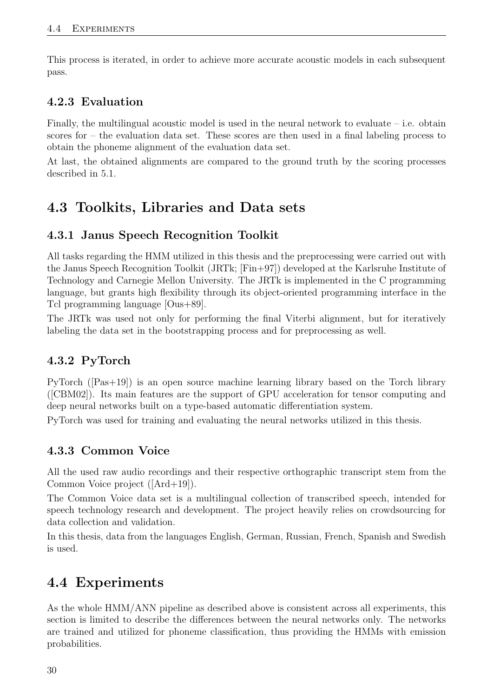This process is iterated, in order to achieve more accurate acoustic models in each subsequent pass.

# <span id="page-37-0"></span>4.2.3 Evaluation

Finally, the multilingual acoustic model is used in the neural network to evaluate  $-$  i.e. obtain scores for – the evaluation data set. These scores are then used in a final labeling process to obtain the phoneme alignment of the evaluation data set.

At last, the obtained alignments are compared to the ground truth by the scoring processes described in [5.1.](#page-44-1)

# <span id="page-37-1"></span>4.3 Toolkits, Libraries and Data sets

# <span id="page-37-2"></span>4.3.1 Janus Speech Recognition Toolkit

All tasks regarding the HMM utilized in this thesis and the preprocessing were carried out with the Janus Speech Recognition Toolkit (JRTk; [\[Fin+97\]](#page-53-16)) developed at the Karlsruhe Institute of Technology and Carnegie Mellon University. The JRTk is implemented in the C programming language, but grants high flexibility through its object-oriented programming interface in the Tcl programming language [\[Ous+89\]](#page-52-14).

The JRTk was used not only for performing the final Viterbi alignment, but for iteratively labeling the data set in the bootstrapping process and for preprocessing as well.

# <span id="page-37-3"></span>4.3.2 PyTorch

PyTorch ([\[Pas+19\]](#page-54-7)) is an open source machine learning library based on the Torch library ([\[CBM02\]](#page-53-17)). Its main features are the support of GPU acceleration for tensor computing and deep neural networks built on a type-based automatic differentiation system.

PyTorch was used for training and evaluating the neural networks utilized in this thesis.

# <span id="page-37-4"></span>4.3.3 Common Voice

All the used raw audio recordings and their respective orthographic transcript stem from the Common Voice project ([\[Ard+19\]](#page-54-8)).

The Common Voice data set is a multilingual collection of transcribed speech, intended for speech technology research and development. The project heavily relies on crowdsourcing for data collection and validation.

In this thesis, data from the languages English, German, Russian, French, Spanish and Swedish is used.

# <span id="page-37-5"></span>4.4 Experiments

As the whole HMM/ANN pipeline as described above is consistent across all experiments, this section is limited to describe the differences between the neural networks only. The networks are trained and utilized for phoneme classification, thus providing the HMMs with emission probabilities.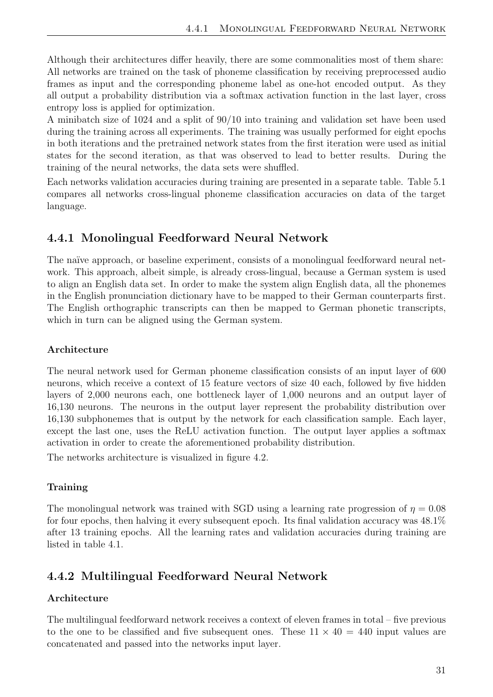Although their architectures differ heavily, there are some commonalities most of them share: All networks are trained on the task of phoneme classification by receiving preprocessed audio frames as input and the corresponding phoneme label as one-hot encoded output. As they all output a probability distribution via a softmax activation function in the last layer, cross entropy loss is applied for optimization.

A minibatch size of 1024 and a split of 90/10 into training and validation set have been used during the training across all experiments. The training was usually performed for eight epochs in both iterations and the pretrained network states from the first iteration were used as initial states for the second iteration, as that was observed to lead to better results. During the training of the neural networks, the data sets were shuffled.

Each networks validation accuracies during training are presented in a separate table. Table [5.1](#page-48-0) compares all networks cross-lingual phoneme classification accuracies on data of the target language.

## <span id="page-38-0"></span>4.4.1 Monolingual Feedforward Neural Network

The naïve approach, or baseline experiment, consists of a monolingual feedforward neural network. This approach, albeit simple, is already cross-lingual, because a German system is used to align an English data set. In order to make the system align English data, all the phonemes in the English pronunciation dictionary have to be mapped to their German counterparts first. The English orthographic transcripts can then be mapped to German phonetic transcripts, which in turn can be aligned using the German system.

### Architecture

The neural network used for German phoneme classification consists of an input layer of 600 neurons, which receive a context of 15 feature vectors of size 40 each, followed by five hidden layers of 2,000 neurons each, one bottleneck layer of 1,000 neurons and an output layer of 16,130 neurons. The neurons in the output layer represent the probability distribution over 16,130 subphonemes that is output by the network for each classification sample. Each layer, except the last one, uses the ReLU activation function. The output layer applies a softmax activation in order to create the aforementioned probability distribution.

The networks architecture is visualized in figure [4.2.](#page-39-0)

#### **Training**

The monolingual network was trained with SGD using a learning rate progression of  $\eta = 0.08$ for four epochs, then halving it every subsequent epoch. Its final validation accuracy was 48.1% after 13 training epochs. All the learning rates and validation accuracies during training are listed in table [4.1.](#page-39-1)

# <span id="page-38-1"></span>4.4.2 Multilingual Feedforward Neural Network

#### Architecture

The multilingual feedforward network receives a context of eleven frames in total – five previous to the one to be classified and five subsequent ones. These  $11 \times 40 = 440$  input values are concatenated and passed into the networks input layer.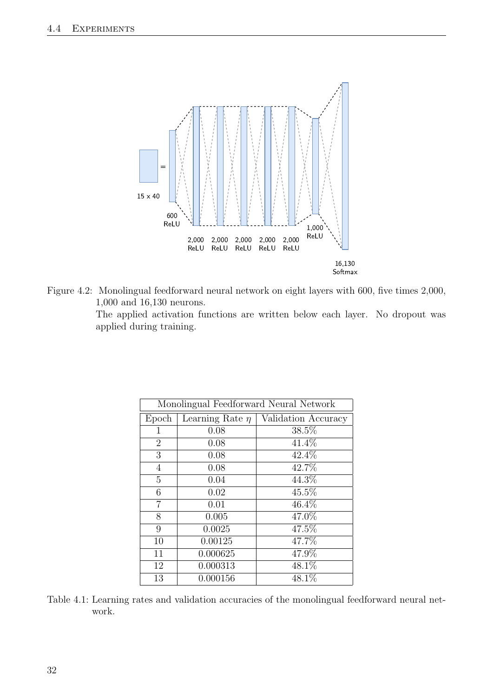

Figure 4.2: Monolingual feedforward neural network on eight layers with 600, five times 2,000, 1,000 and 16,130 neurons.

<span id="page-39-0"></span>The applied activation functions are written below each layer. No dropout was applied during training.

| Monolingual Feedforward Neural Network |                      |                     |  |  |  |
|----------------------------------------|----------------------|---------------------|--|--|--|
| Epoch                                  | Learning Rate $\eta$ | Validation Accuracy |  |  |  |
| 1                                      | 0.08                 | 38.5%               |  |  |  |
| $\overline{2}$                         | 0.08                 | 41.4%               |  |  |  |
| 3                                      | 0.08                 | $42.4\%$            |  |  |  |
| $\overline{4}$                         | 0.08                 | 42.7%               |  |  |  |
| 5                                      | 0.04                 | 44.3%               |  |  |  |
| 6                                      | 0.02                 | 45.5%               |  |  |  |
| $\overline{7}$                         | 0.01                 | $46.4\%$            |  |  |  |
| 8                                      | 0.005                | 47.0%               |  |  |  |
| 9                                      | 0.0025               | 47.5%               |  |  |  |
| 10                                     | 0.00125              | 47.7%               |  |  |  |
| 11                                     | 0.000625             | 47.9%               |  |  |  |
| 12                                     | 0.000313             | $48.1\%$            |  |  |  |
| 13                                     | 0.000156             | 48.1%               |  |  |  |

<span id="page-39-1"></span>Table 4.1: Learning rates and validation accuracies of the monolingual feedforward neural network.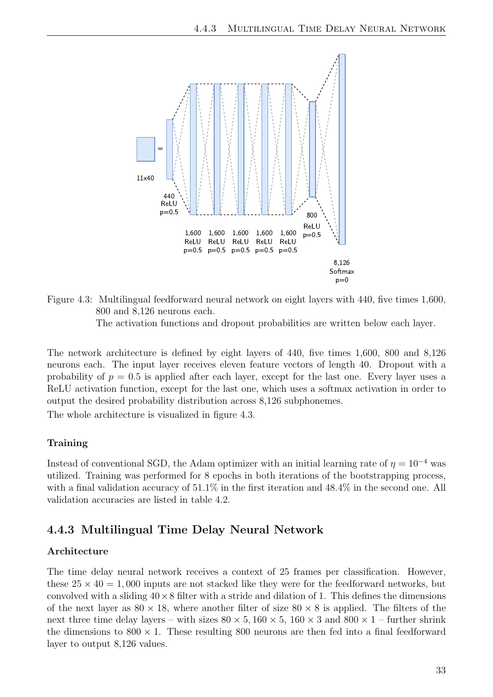

<span id="page-40-1"></span>Figure 4.3: Multilingual feedforward neural network on eight layers with 440, five times 1,600, 800 and 8,126 neurons each. The activation functions and dropout probabilities are written below each layer.

The network architecture is defined by eight layers of 440, five times 1,600, 800 and 8,126 neurons each. The input layer receives eleven feature vectors of length 40. Dropout with a probability of  $p = 0.5$  is applied after each layer, except for the last one. Every layer uses a ReLU activation function, except for the last one, which uses a softmax activation in order to output the desired probability distribution across 8,126 subphonemes.

The whole architecture is visualized in figure [4.3.](#page-40-1)

#### Training

Instead of conventional SGD, the Adam optimizer with an initial learning rate of  $\eta = 10^{-4}$  was utilized. Training was performed for 8 epochs in both iterations of the bootstrapping process, with a final validation accuracy of 51.1% in the first iteration and 48.4% in the second one. All validation accuracies are listed in table [4.2.](#page-41-1)

## <span id="page-40-0"></span>4.4.3 Multilingual Time Delay Neural Network

#### Architecture

The time delay neural network receives a context of 25 frames per classification. However, these  $25 \times 40 = 1,000$  inputs are not stacked like they were for the feedforward networks, but convolved with a sliding  $40 \times 8$  filter with a stride and dilation of 1. This defines the dimensions of the next layer as  $80 \times 18$ , where another filter of size  $80 \times 8$  is applied. The filters of the next three time delay layers – with sizes  $80 \times 5, 160 \times 5, 160 \times 3$  and  $800 \times 1$  – further shrink the dimensions to  $800 \times 1$ . These resulting 800 neurons are then fed into a final feedforward layer to output 8,126 values.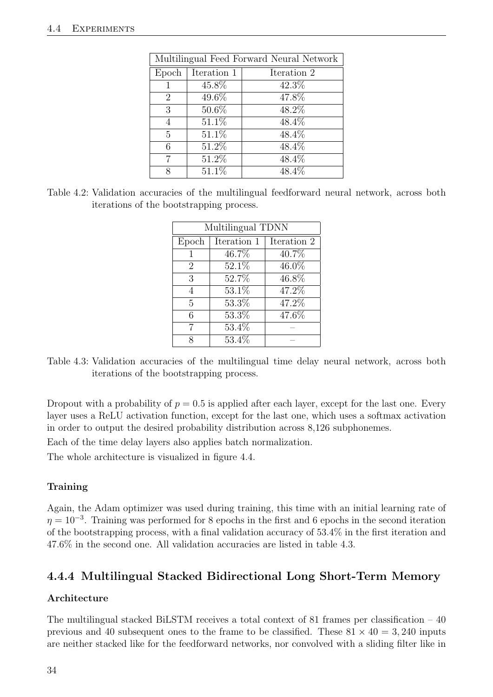| Multilingual Feed Forward Neural Network |             |             |  |  |
|------------------------------------------|-------------|-------------|--|--|
| Epoch                                    | Iteration 1 | Iteration 2 |  |  |
|                                          | 45.8%       | 42.3%       |  |  |
| $\overline{2}$                           | 49.6%       | 47.8%       |  |  |
| 3                                        | 50.6%       | 48.2%       |  |  |
| 4                                        | 51.1%       | 48.4%       |  |  |
| 5                                        | 51.1%       | 48.4%       |  |  |
| 6                                        | 51.2%       | 48.4%       |  |  |
| 7                                        | 51.2%       | 48.4%       |  |  |
|                                          | 51.1%       | $48.4\%$    |  |  |

<span id="page-41-1"></span>Table 4.2: Validation accuracies of the multilingual feedforward neural network, across both iterations of the bootstrapping process.

| Multilingual TDNN |             |             |  |  |  |
|-------------------|-------------|-------------|--|--|--|
| Epoch             | Iteration 1 | Iteration 2 |  |  |  |
|                   | 46.7%       | 40.7%       |  |  |  |
| $\overline{2}$    | 52.1%       | 46.0%       |  |  |  |
| 3                 | 52.7%       | 46.8%       |  |  |  |
| 4                 | 53.1%       | 47.2%       |  |  |  |
| 5                 | 53.3%       | 47.2%       |  |  |  |
| 6                 | 53.3%       | 47.6%       |  |  |  |
| 7                 | $53.4\%$    |             |  |  |  |
|                   | $53.4\%$    |             |  |  |  |

<span id="page-41-2"></span>Table 4.3: Validation accuracies of the multilingual time delay neural network, across both iterations of the bootstrapping process.

Dropout with a probability of  $p = 0.5$  is applied after each layer, except for the last one. Every layer uses a ReLU activation function, except for the last one, which uses a softmax activation in order to output the desired probability distribution across 8,126 subphonemes.

Each of the time delay layers also applies batch normalization.

The whole architecture is visualized in figure [4.4.](#page-42-0)

## **Training**

Again, the Adam optimizer was used during training, this time with an initial learning rate of  $\eta = 10^{-3}$ . Training was performed for 8 epochs in the first and 6 epochs in the second iteration of the bootstrapping process, with a final validation accuracy of 53.4% in the first iteration and 47.6% in the second one. All validation accuracies are listed in table [4.3.](#page-41-2)

# <span id="page-41-0"></span>4.4.4 Multilingual Stacked Bidirectional Long Short-Term Memory

## Architecture

The multilingual stacked BiLSTM receives a total context of 81 frames per classification  $-40$ previous and 40 subsequent ones to the frame to be classified. These  $81 \times 40 = 3,240$  inputs are neither stacked like for the feedforward networks, nor convolved with a sliding filter like in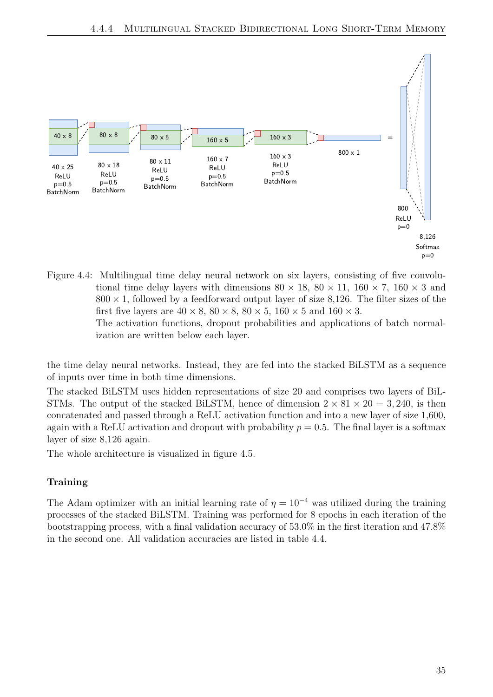

<span id="page-42-0"></span>Figure 4.4: Multilingual time delay neural network on six layers, consisting of five convolutional time delay layers with dimensions  $80 \times 18$ ,  $80 \times 11$ ,  $160 \times 7$ ,  $160 \times 3$  and  $800 \times 1$ , followed by a feedforward output layer of size 8,126. The filter sizes of the first five layers are  $40 \times 8$ ,  $80 \times 8$ ,  $80 \times 5$ ,  $160 \times 5$  and  $160 \times 3$ .

The activation functions, dropout probabilities and applications of batch normalization are written below each layer.

the time delay neural networks. Instead, they are fed into the stacked BiLSTM as a sequence of inputs over time in both time dimensions.

The stacked BiLSTM uses hidden representations of size 20 and comprises two layers of BiL-STMs. The output of the stacked BiLSTM, hence of dimension  $2 \times 81 \times 20 = 3,240$ , is then concatenated and passed through a ReLU activation function and into a new layer of size 1,600, again with a ReLU activation and dropout with probability  $p = 0.5$ . The final layer is a softmax layer of size 8,126 again.

The whole architecture is visualized in figure [4.5.](#page-43-0)

## Training

The Adam optimizer with an initial learning rate of  $\eta = 10^{-4}$  was utilized during the training processes of the stacked BiLSTM. Training was performed for 8 epochs in each iteration of the bootstrapping process, with a final validation accuracy of 53.0% in the first iteration and 47.8% in the second one. All validation accuracies are listed in table [4.4.](#page-43-1)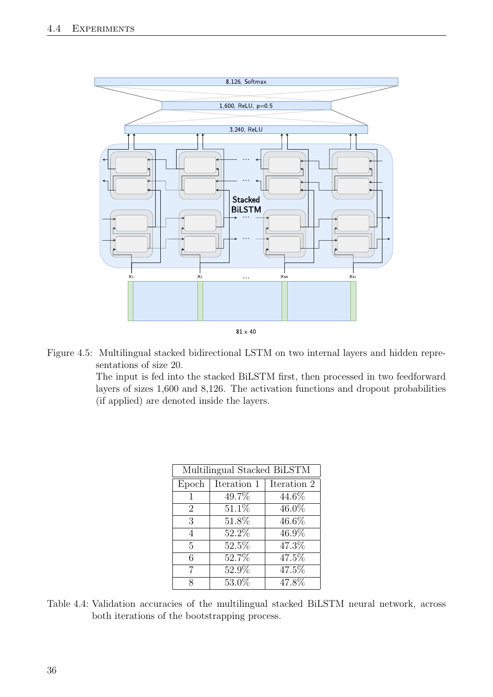

Figure 4.5: Multilingual stacked bidirectional LSTM on two internal layers and hidden representations of size 20.

<span id="page-43-0"></span>The input is fed into the stacked BiLSTM first, then processed in two feedforward layers of sizes 1,600 and 8,126. The activation functions and dropout probabilities (if applied) are denoted inside the layers.

| Multilingual Stacked BiLSTM |             |             |  |  |  |
|-----------------------------|-------------|-------------|--|--|--|
| Epoch                       | Iteration 1 | Iteration 2 |  |  |  |
| 1                           | 49.7%       | 44.6%       |  |  |  |
| $\overline{2}$              | 51.1%       | 46.0%       |  |  |  |
| 3                           | 51.8%       | $46.6\%$    |  |  |  |
| 4                           | 52.2%       | 46.9%       |  |  |  |
| 5                           | 52.5%       | 47.3%       |  |  |  |
| 6                           | 52.7%       | 47.5%       |  |  |  |
| 7                           | 52.9%       | 47.5%       |  |  |  |
| X                           | 53.0%       | 47.8%       |  |  |  |

<span id="page-43-1"></span>Table 4.4: Validation accuracies of the multilingual stacked BiLSTM neural network, across both iterations of the bootstrapping process.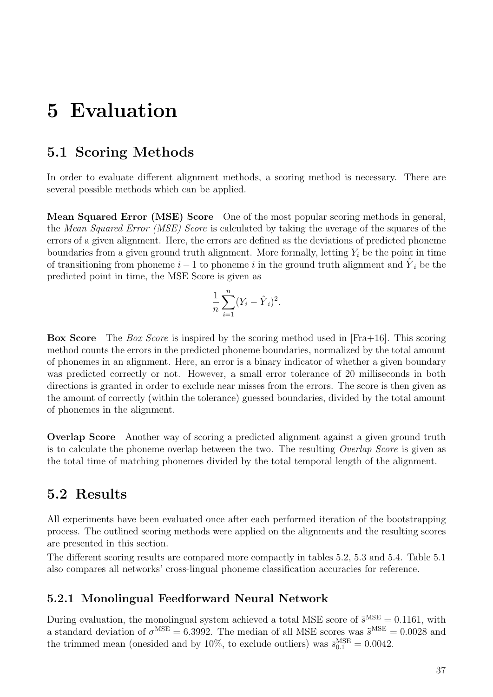# <span id="page-44-0"></span>5 Evaluation

# <span id="page-44-1"></span>5.1 Scoring Methods

In order to evaluate different alignment methods, a scoring method is necessary. There are several possible methods which can be applied.

Mean Squared Error (MSE) Score One of the most popular scoring methods in general, the Mean Squared Error (MSE) Score is calculated by taking the average of the squares of the errors of a given alignment. Here, the errors are defined as the deviations of predicted phoneme boundaries from a given ground truth alignment. More formally, letting  $Y_i$  be the point in time of transitioning from phoneme  $i-1$  to phoneme i in the ground truth alignment and  $\hat{Y}_i$  be the predicted point in time, the MSE Score is given as

$$
\frac{1}{n} \sum_{i=1}^{n} (Y_i - \hat{Y}_i)^2.
$$

Box Score The Box Score is inspired by the scoring method used in [\[Fra+16\]](#page-54-4). This scoring method counts the errors in the predicted phoneme boundaries, normalized by the total amount of phonemes in an alignment. Here, an error is a binary indicator of whether a given boundary was predicted correctly or not. However, a small error tolerance of 20 milliseconds in both directions is granted in order to exclude near misses from the errors. The score is then given as the amount of correctly (within the tolerance) guessed boundaries, divided by the total amount of phonemes in the alignment.

Overlap Score Another way of scoring a predicted alignment against a given ground truth is to calculate the phoneme overlap between the two. The resulting Overlap Score is given as the total time of matching phonemes divided by the total temporal length of the alignment.

# <span id="page-44-2"></span>5.2 Results

All experiments have been evaluated once after each performed iteration of the bootstrapping process. The outlined scoring methods were applied on the alignments and the resulting scores are presented in this section.

The different scoring results are compared more compactly in tables [5.2,](#page-48-1) [5.3](#page-48-2) and [5.4.](#page-48-3) Table [5.1](#page-48-0) also compares all networks' cross-lingual phoneme classification accuracies for reference.

## <span id="page-44-3"></span>5.2.1 Monolingual Feedforward Neural Network

During evaluation, the monolingual system achieved a total MSE score of  $\bar{s}^{\text{MSE}} = 0.1161$ , with a standard deviation of  $\sigma^{\text{MSE}} = 6.3992$ . The median of all MSE scores was  $\tilde{s}^{\text{MSE}} = 0.0028$  and the trimmed mean (onesided and by 10%, to exclude outliers) was  $\bar{s}_{0.1}^{\text{MSE}} = 0.0042$ .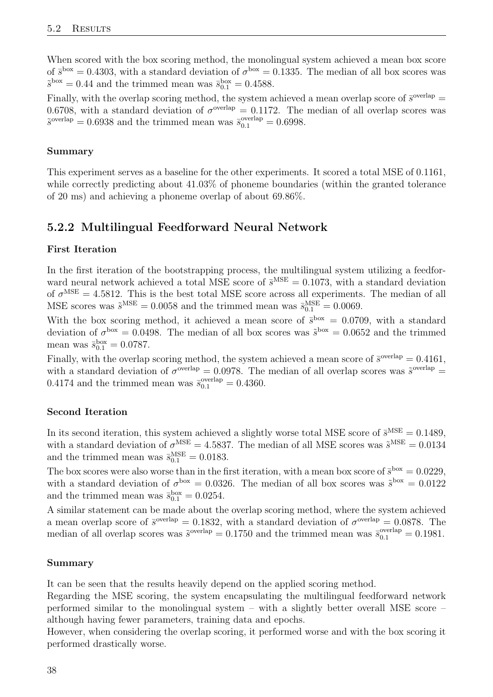When scored with the box scoring method, the monolingual system achieved a mean box score of  $\bar{s}^{box} = 0.4303$ , with a standard deviation of  $\sigma^{box} = 0.1335$ . The median of all box scores was  $\tilde{s}^{\text{box}} = 0.44$  and the trimmed mean was  $\bar{s}_{0.1}^{\text{box}} = 0.4588$ .

Finally, with the overlap scoring method, the system achieved a mean overlap score of  $\bar{s}^{\text{overlap}} =$ 0.6708, with a standard deviation of  $\sigma^{\text{overlap}} = 0.1172$ . The median of all overlap scores was  $\tilde{s}^{\text{overlap}} = 0.6938$  and the trimmed mean was  $\bar{s}_{0.1}^{\text{overlap}} = 0.6998$ .

### Summary

This experiment serves as a baseline for the other experiments. It scored a total MSE of 0.1161, while correctly predicting about  $41.03\%$  of phoneme boundaries (within the granted tolerance of 20 ms) and achieving a phoneme overlap of about 69.86%.

# <span id="page-45-0"></span>5.2.2 Multilingual Feedforward Neural Network

#### First Iteration

In the first iteration of the bootstrapping process, the multilingual system utilizing a feedforward neural network achieved a total MSE score of  $\bar{s}^{\text{MSE}} = 0.1073$ , with a standard deviation of  $\sigma^{\text{MSE}} = 4.5812$ . This is the best total MSE score across all experiments. The median of all MSE scores was  $\tilde{s}^{\text{MSE}} = 0.0058$  and the trimmed mean was  $\bar{s}_{0.1}^{\text{MSE}} = 0.0069$ .

With the box scoring method, it achieved a mean score of  $\bar{s}^{box} = 0.0709$ , with a standard deviation of  $\sigma^{box} = 0.0498$ . The median of all box scores was  $\tilde{s}^{box} = 0.0652$  and the trimmed mean was  $\bar{s}_{0.1}^{\text{box}} = 0.0787$ .

Finally, with the overlap scoring method, the system achieved a mean score of  $\bar{s}^{\text{overlap}} = 0.4161$ , with a standard deviation of  $\sigma^{\text{overlap}} = 0.0978$ . The median of all overlap scores was  $\tilde{s}^{\text{overlap}} =$ 0.4174 and the trimmed mean was  $\bar{s}_{0.1}^{\text{overlap}} = 0.4360$ .

## Second Iteration

In its second iteration, this system achieved a slightly worse total MSE score of  $\bar{s}^{\text{MSE}} = 0.1489$ , with a standard deviation of  $\sigma^{\text{MSE}} = 4.5837$ . The median of all MSE scores was  $\tilde{s}^{\text{MSE}} = 0.0134$ and the trimmed mean was  $\bar{s}_{0.1}^{\text{MSE}} = 0.0183$ .

The box scores were also worse than in the first iteration, with a mean box score of  $\bar{s}^{box} = 0.0229$ , with a standard deviation of  $\sigma^{box} = 0.0326$ . The median of all box scores was  $\tilde{s}^{box} = 0.0122$ and the trimmed mean was  $\bar{s}_{0.1}^{\text{box}} = 0.0254$ .

A similar statement can be made about the overlap scoring method, where the system achieved a mean overlap score of  $\bar{s}^{\text{overlap}} = 0.1832$ , with a standard deviation of  $\sigma^{\text{overlap}} = 0.0878$ . The median of all overlap scores was  $\tilde{s}^{\text{overlap}} = 0.1750$  and the trimmed mean was  $\bar{s}^{\text{overlap}}_{0.1} = 0.1981$ .

#### Summary

It can be seen that the results heavily depend on the applied scoring method.

Regarding the MSE scoring, the system encapsulating the multilingual feedforward network performed similar to the monolingual system – with a slightly better overall MSE score – although having fewer parameters, training data and epochs.

However, when considering the overlap scoring, it performed worse and with the box scoring it performed drastically worse.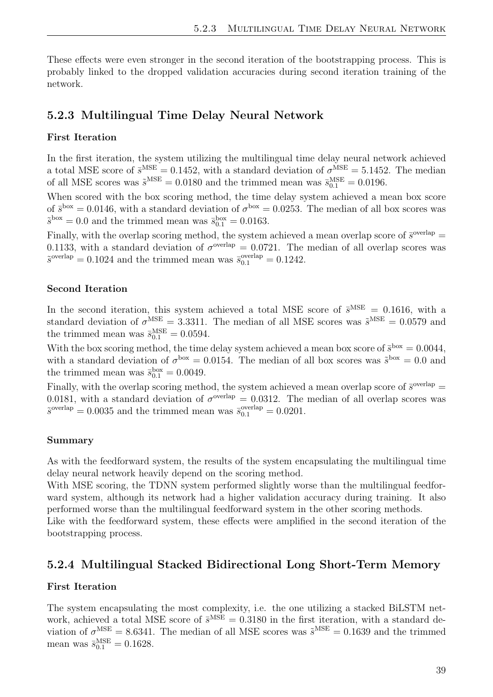These effects were even stronger in the second iteration of the bootstrapping process. This is probably linked to the dropped validation accuracies during second iteration training of the network.

### <span id="page-46-0"></span>5.2.3 Multilingual Time Delay Neural Network

#### First Iteration

In the first iteration, the system utilizing the multilingual time delay neural network achieved a total MSE score of  $\bar{s}^{\text{MSE}} = 0.1452$ , with a standard deviation of  $\sigma^{\text{MSE}} = 5.1452$ . The median of all MSE scores was  $\tilde{s}^{\text{MSE}} = 0.0180$  and the trimmed mean was  $\bar{s}_{0.1}^{\text{MSE}} = 0.0196$ .

When scored with the box scoring method, the time delay system achieved a mean box score of  $\bar{s}^{box} = 0.0146$ , with a standard deviation of  $\sigma^{box} = 0.0253$ . The median of all box scores was  $\tilde{s}^{\text{box}} = 0.0$  and the trimmed mean was  $\bar{s}_{0.1}^{\text{box}} = 0.0163$ .

Finally, with the overlap scoring method, the system achieved a mean overlap score of  $\bar{s}^{\text{overlap}} =$ 0.1133, with a standard deviation of  $\sigma^{\text{overlap}} = 0.0721$ . The median of all overlap scores was  $\tilde{s}^{\text{overlap}} = 0.1024$  and the trimmed mean was  $\bar{s}_{0.1}^{\text{overlap}} = 0.1242$ .

#### Second Iteration

In the second iteration, this system achieved a total MSE score of  $\bar{s}^{\text{MSE}} = 0.1616$ , with a standard deviation of  $\sigma^{\text{MSE}} = 3.3311$ . The median of all MSE scores was  $\tilde{s}^{\text{MSE}} = 0.0579$  and the trimmed mean was  $\bar{s}_{0.1}^{\text{MSE}} = 0.0594$ .

With the box scoring method, the time delay system achieved a mean box score of  $\bar{s}^{box} = 0.0044$ , with a standard deviation of  $\sigma^{box} = 0.0154$ . The median of all box scores was  $\tilde{s}^{box} = 0.0$  and the trimmed mean was  $\bar{s}_{0.1}^{\text{box}} = 0.0049$ .

Finally, with the overlap scoring method, the system achieved a mean overlap score of  $\bar{s}^{\text{overlap}} =$ 0.0181, with a standard deviation of  $\sigma^{\text{overlap}} = 0.0312$ . The median of all overlap scores was  $\tilde{s}^{\text{overlap}} = 0.0035$  and the trimmed mean was  $\bar{s}_{0.1}^{\text{overlap}} = 0.0201$ .

#### Summary

As with the feedforward system, the results of the system encapsulating the multilingual time delay neural network heavily depend on the scoring method.

With MSE scoring, the TDNN system performed slightly worse than the multilingual feedforward system, although its network had a higher validation accuracy during training. It also performed worse than the multilingual feedforward system in the other scoring methods.

Like with the feedforward system, these effects were amplified in the second iteration of the bootstrapping process.

#### <span id="page-46-1"></span>5.2.4 Multilingual Stacked Bidirectional Long Short-Term Memory

#### First Iteration

The system encapsulating the most complexity, i.e. the one utilizing a stacked BiLSTM network, achieved a total MSE score of  $\bar{s}^{\text{MSE}} = 0.3180$  in the first iteration, with a standard deviation of  $\sigma^{\text{MSE}} = 8.6341$ . The median of all MSE scores was  $\tilde{s}^{\text{MSE}} = 0.1639$  and the trimmed mean was  $\bar{s}_{0.1}^{\text{MSE}} = 0.1628$ .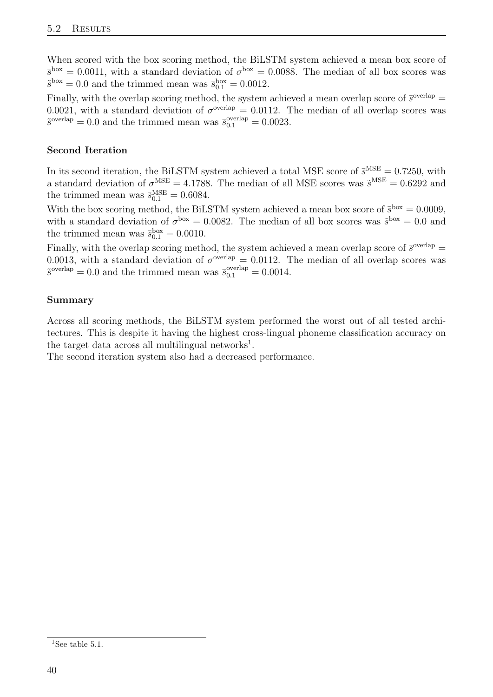When scored with the box scoring method, the BiLSTM system achieved a mean box score of  $\bar{s}^{box} = 0.0011$ , with a standard deviation of  $\sigma^{box} = 0.0088$ . The median of all box scores was  $\tilde{s}^{\text{box}} = 0.0$  and the trimmed mean was  $\bar{s}_{0.1}^{\text{box}} = 0.0012$ .

Finally, with the overlap scoring method, the system achieved a mean overlap score of  $\bar{s}^{\text{overlap}} =$ 0.0021, with a standard deviation of  $\sigma^{\text{overlap}} = 0.0112$ . The median of all overlap scores was  $\tilde{s}^{\text{overlap}} = 0.0$  and the trimmed mean was  $\bar{s}^{\text{overlap}}_{0.1} = 0.0023$ .

### Second Iteration

In its second iteration, the BiLSTM system achieved a total MSE score of  $\bar{s}^{\text{MSE}} = 0.7250$ , with a standard deviation of  $\sigma^{\text{MSE}} = 4.1788$ . The median of all MSE scores was  $\tilde{s}^{\text{MSE}} = 0.6292$  and the trimmed mean was  $\bar{s}_{0.1}^{\text{MSE}} = 0.6084$ .

With the box scoring method, the BiLSTM system achieved a mean box score of  $\bar{s}^{box} = 0.0009$ , with a standard deviation of  $\sigma^{box} = 0.0082$ . The median of all box scores was  $\tilde{s}^{box} = 0.0$  and the trimmed mean was  $\bar{s}_{0.1}^{\text{box}} = 0.0010$ .

Finally, with the overlap scoring method, the system achieved a mean overlap score of  $\bar{s}^{\text{overlap}} =$ 0.0013, with a standard deviation of  $\sigma^{\text{overlap}} = 0.0112$ . The median of all overlap scores was  $\tilde{s}^{\text{overlap}} = 0.0$  and the trimmed mean was  $\bar{s}_{0.1}^{\text{overlap}} = 0.0014$ .

#### Summary

Across all scoring methods, the BiLSTM system performed the worst out of all tested architectures. This is despite it having the highest cross-lingual phoneme classification accuracy on the target data across all multilingual networks<sup>[1](#page-47-0)</sup>.

The second iteration system also had a decreased performance.

<span id="page-47-0"></span><sup>&</sup>lt;sup>1</sup>See table [5.1.](#page-48-0)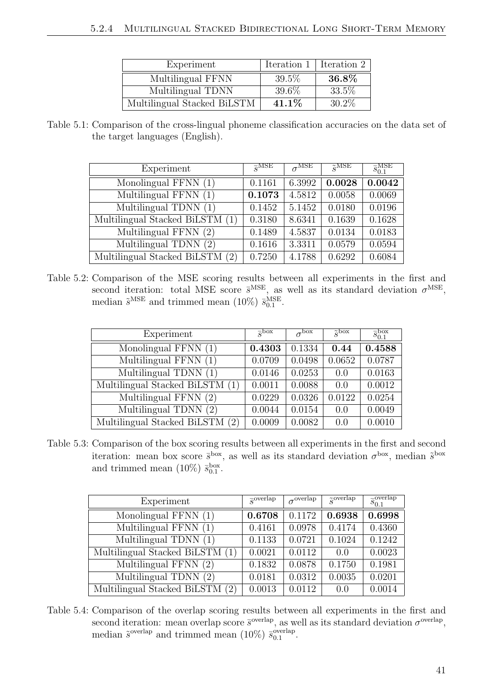| Experiment                  | Iteration 1   Iteration 2 |          |
|-----------------------------|---------------------------|----------|
| Multilingual FFNN           | 39.5%                     | $36.8\%$ |
| Multilingual TDNN           | 39.6%                     | 33.5%    |
| Multilingual Stacked BiLSTM | 41.1\%                    | $30.2\%$ |

<span id="page-48-0"></span>Table 5.1: Comparison of the cross-lingual phoneme classification accuracies on the data set of the target languages (English).

| Experiment                      | $\overline{s}$ MSE | $\sigma^{\overline{\mathrm{MSE}}}$ | $\tilde{g}$ MSE | $\overline{s}_{0.1}^{\text{MSE}}$ |
|---------------------------------|--------------------|------------------------------------|-----------------|-----------------------------------|
| Monolingual FFNN (1)            | 0.1161             | 6.3992                             | 0.0028          | 0.0042                            |
| Multilingual FFNN $(1)$         | 0.1073             | 4.5812                             | 0.0058          | 0.0069                            |
| Multilingual TDNN (1)           | 0.1452             | 5.1452                             | 0.0180          | 0.0196                            |
| Multilingual Stacked BiLSTM (1) | 0.3180             | 8.6341                             | 0.1639          | 0.1628                            |
| Multilingual FFNN (2)           | 0.1489             | 4.5837                             | 0.0134          | 0.0183                            |
| Multilingual TDNN (2)           | 0.1616             | 3.3311                             | 0.0579          | 0.0594                            |
| Multilingual Stacked BiLSTM (2) | 0.7250             | 4.1788                             | 0.6292          | 0.6084                            |

<span id="page-48-1"></span>Table 5.2: Comparison of the MSE scoring results between all experiments in the first and second iteration: total MSE score  $\bar{s}^{\text{MSE}}$ , as well as its standard deviation  $\sigma^{\text{MSE}}$ , median  $\tilde{s}^{\text{MSE}}$  and trimmed mean (10%)  $\bar{s}_{0.1}^{\text{MSE}}$ .

| Experiment                      | $\overline{\varsigma}$ box | $\sigma$ box | $\tilde{s}^{\text{box}}$ | $\bar{s}^{\rm box}_{0.1}$ |
|---------------------------------|----------------------------|--------------|--------------------------|---------------------------|
| Monolingual FFNN (1)            | 0.4303                     | 0.1334       | 0.44                     | 0.4588                    |
| Multilingual FFNN (1)           | 0.0709                     | 0.0498       | 0.0652                   | 0.0787                    |
| Multilingual TDNN (1)           | 0.0146                     | 0.0253       | 0.0                      | 0.0163                    |
| Multilingual Stacked BiLSTM (1) | 0.0011                     | 0.0088       | 0.0                      | 0.0012                    |
| Multilingual FFNN (2)           | 0.0229                     | 0.0326       | 0.0122                   | 0.0254                    |
| Multilingual TDNN (2)           | 0.0044                     | 0.0154       | 0.0                      | 0.0049                    |
| Multilingual Stacked BiLSTM (2) | 0.0009                     | 0.0082       | 0.0                      | 0.0010                    |

<span id="page-48-2"></span>Table 5.3: Comparison of the box scoring results between all experiments in the first and second iteration: mean box score  $\bar{s}^{box}$ , as well as its standard deviation  $\sigma^{box}$ , median  $\tilde{s}^{box}$ and trimmed mean  $(10\%) \bar{s}_{0.1}^{\text{box}}$ .

| Experiment                         | $\overline{\varsigma}$ overlap | $\sigma^{\text{overlap}}$ | $\tilde{c}^{\overline{\text{overlap}}}$ | $\overline{s}_{0.1}^{\mathrm{overlap}}$ |
|------------------------------------|--------------------------------|---------------------------|-----------------------------------------|-----------------------------------------|
| Monolingual FFNN (1)               | 0.6708                         | 0.1172                    | 0.6938                                  | 0.6998                                  |
| Multilingual FFNN (1)              | 0.4161                         | 0.0978                    | 0.4174                                  | 0.4360                                  |
| Multilingual TDNN $(1)$            | 0.1133                         | 0.0721                    | 0.1024                                  | 0.1242                                  |
| Multilingual Stacked BiLSTM (1)    | 0.0021                         | 0.0112                    | 0.0                                     | 0.0023                                  |
| Multilingual FFNN $(2)$            | 0.1832                         | 0.0878                    | 0.1750                                  | 0.1981                                  |
| Multilingual TDNN (2)              | 0.0181                         | 0.0312                    | 0.0035                                  | 0.0201                                  |
| Multilingual Stacked BiLSTM<br>(2) | 0.0013                         | 0.0112                    | 0.0                                     | 0.0014                                  |

<span id="page-48-3"></span>Table 5.4: Comparison of the overlap scoring results between all experiments in the first and second iteration: mean overlap score  $\bar{s}^{\text{overlap}}$ , as well as its standard deviation  $\sigma^{\text{overlap}}$ , median  $\tilde{s}^{\text{overlap}}$  and trimmed mean (10%)  $\bar{s}_{0.1}^{\text{overlap}}$ overlap<br>0.1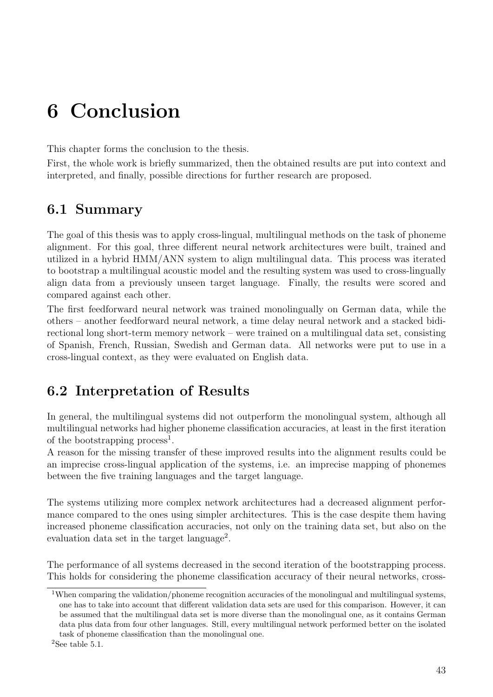# <span id="page-50-0"></span>6 Conclusion

This chapter forms the conclusion to the thesis.

First, the whole work is briefly summarized, then the obtained results are put into context and interpreted, and finally, possible directions for further research are proposed.

# <span id="page-50-1"></span>6.1 Summary

The goal of this thesis was to apply cross-lingual, multilingual methods on the task of phoneme alignment. For this goal, three different neural network architectures were built, trained and utilized in a hybrid HMM/ANN system to align multilingual data. This process was iterated to bootstrap a multilingual acoustic model and the resulting system was used to cross-lingually align data from a previously unseen target language. Finally, the results were scored and compared against each other.

The first feedforward neural network was trained monolingually on German data, while the others – another feedforward neural network, a time delay neural network and a stacked bidirectional long short-term memory network – were trained on a multilingual data set, consisting of Spanish, French, Russian, Swedish and German data. All networks were put to use in a cross-lingual context, as they were evaluated on English data.

# <span id="page-50-2"></span>6.2 Interpretation of Results

In general, the multilingual systems did not outperform the monolingual system, although all multilingual networks had higher phoneme classification accuracies, at least in the first iteration of the bootstrapping process<sup>[1](#page-50-3)</sup>.

A reason for the missing transfer of these improved results into the alignment results could be an imprecise cross-lingual application of the systems, i.e. an imprecise mapping of phonemes between the five training languages and the target language.

The systems utilizing more complex network architectures had a decreased alignment performance compared to the ones using simpler architectures. This is the case despite them having increased phoneme classification accuracies, not only on the training data set, but also on the evaluation data set in the target language<sup>[2](#page-50-4)</sup>.

The performance of all systems decreased in the second iteration of the bootstrapping process. This holds for considering the phoneme classification accuracy of their neural networks, cross-

<span id="page-50-3"></span><sup>&</sup>lt;sup>1</sup>When comparing the validation/phoneme recognition accuracies of the monolingual and multilingual systems, one has to take into account that different validation data sets are used for this comparison. However, it can be assumed that the multilingual data set is more diverse than the monolingual one, as it contains German data plus data from four other languages. Still, every multilingual network performed better on the isolated task of phoneme classification than the monolingual one.

<span id="page-50-4"></span> $2$ See table [5.1.](#page-48-0)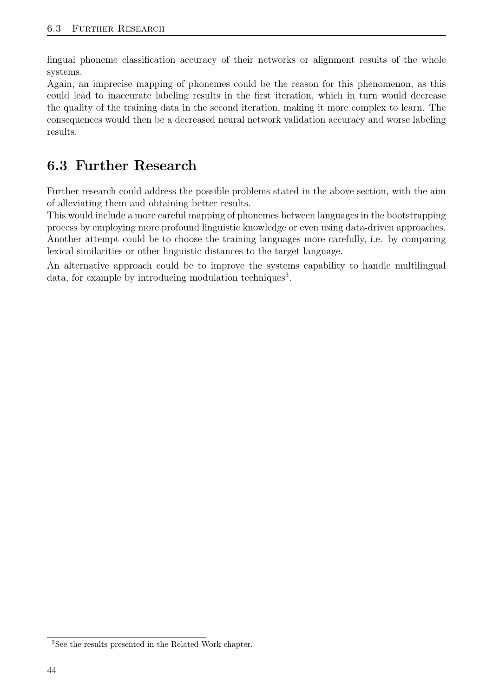lingual phoneme classification accuracy of their networks or alignment results of the whole systems.

Again, an imprecise mapping of phonemes could be the reason for this phenomenon, as this could lead to inaccurate labeling results in the first iteration, which in turn would decrease the quality of the training data in the second iteration, making it more complex to learn. The consequences would then be a decreased neural network validation accuracy and worse labeling results.

# <span id="page-51-0"></span>6.3 Further Research

Further research could address the possible problems stated in the above section, with the aim of alleviating them and obtaining better results.

This would include a more careful mapping of phonemes between languages in the bootstrapping process by employing more profound linguistic knowledge or even using data-driven approaches. Another attempt could be to choose the training languages more carefully, i.e. by comparing lexical similarities or other linguistic distances to the target language.

An alternative approach could be to improve the systems capability to handle multilingual data, for example by introducing modulation techniques<sup>[3](#page-51-1)</sup>.

<span id="page-51-1"></span><sup>3</sup>See the results presented in the [Related Work](#page-32-0) chapter.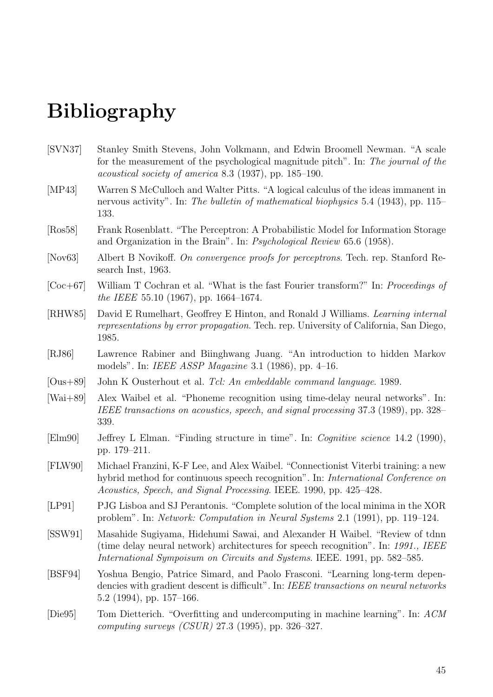# Bibliography

- <span id="page-52-13"></span>[SVN37] Stanley Smith Stevens, John Volkmann, and Edwin Broomell Newman. "A scale for the measurement of the psychological magnitude pitch". In: The journal of the acoustical society of america 8.3 (1937), pp. 185–190.
- <span id="page-52-3"></span>[MP43] Warren S McCulloch and Walter Pitts. "A logical calculus of the ideas immanent in nervous activity". In: The bulletin of mathematical biophysics 5.4 (1943), pp. 115– 133.
- <span id="page-52-2"></span>[Ros58] Frank Rosenblatt. "The Perceptron: A Probabilistic Model for Information Storage and Organization in the Brain". In: Psychological Review 65.6 (1958).
- <span id="page-52-5"></span>[Nov63] Albert B Novikoff. On convergence proofs for perceptrons. Tech. rep. Stanford Research Inst, 1963.
- <span id="page-52-12"></span>[Coc+67] William T Cochran et al. "What is the fast Fourier transform?" In: Proceedings of the IEEE 55.10 (1967), pp. 1664–1674.
- <span id="page-52-6"></span>[RHW85] David E Rumelhart, Geoffrey E Hinton, and Ronald J Williams. Learning internal representations by error propagation. Tech. rep. University of California, San Diego, 1985.
- <span id="page-52-0"></span>[RJ86] Lawrence Rabiner and Biinghwang Juang. "An introduction to hidden Markov models". In: IEEE ASSP Magazine 3.1 (1986), pp. 4–16.
- <span id="page-52-14"></span>[Ous+89] John K Ousterhout et al. Tcl: An embeddable command language. 1989.
- <span id="page-52-8"></span>[Wai+89] Alex Waibel et al. "Phoneme recognition using time-delay neural networks". In: IEEE transactions on acoustics, speech, and signal processing 37.3 (1989), pp. 328– 339.
- <span id="page-52-10"></span>[Elm90] Jeffrey L Elman. "Finding structure in time". In: Cognitive science 14.2 (1990), pp. 179–211.
- <span id="page-52-1"></span>[FLW90] Michael Franzini, K-F Lee, and Alex Waibel. "Connectionist Viterbi training: a new hybrid method for continuous speech recognition". In: International Conference on Acoustics, Speech, and Signal Processing. IEEE. 1990, pp. 425–428.
- <span id="page-52-4"></span>[LP91] PJG Lisboa and SJ Perantonis. "Complete solution of the local minima in the XOR problem". In: Network: Computation in Neural Systems 2.1 (1991), pp. 119–124.
- <span id="page-52-9"></span>[SSW91] Masahide Sugiyama, Hidehumi Sawai, and Alexander H Waibel. "Review of tdnn (time delay neural network) architectures for speech recognition". In: 1991., IEEE International Sympoisum on Circuits and Systems. IEEE. 1991, pp. 582–585.
- <span id="page-52-11"></span>[BSF94] Yoshua Bengio, Patrice Simard, and Paolo Frasconi. "Learning long-term dependencies with gradient descent is difficult". In: IEEE transactions on neural networks 5.2 (1994), pp. 157–166.
- <span id="page-52-7"></span>[Die95] Tom Dietterich. "Overfitting and undercomputing in machine learning". In: ACM computing surveys  $(CSUR)$  27.3 (1995), pp. 326–327.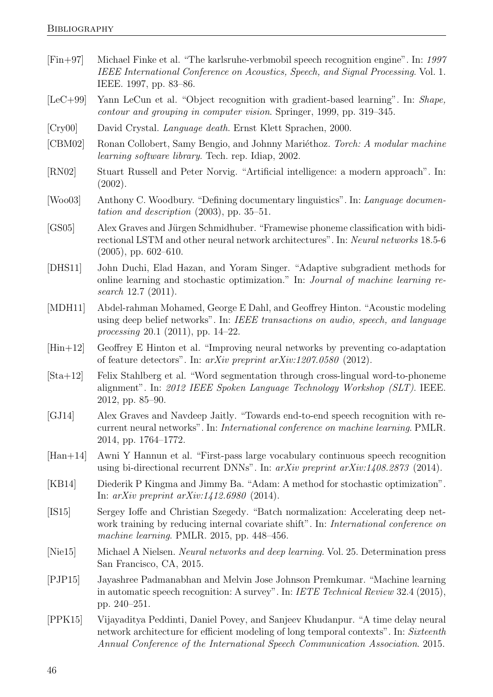- <span id="page-53-16"></span>[Fin+97] Michael Finke et al. "The karlsruhe-verbmobil speech recognition engine". In: 1997 IEEE International Conference on Acoustics, Speech, and Signal Processing. Vol. 1. IEEE. 1997, pp. 83–86.
- <span id="page-53-11"></span>[LeC+99] Yann LeCun et al. "Object recognition with gradient-based learning". In: Shape, contour and grouping in computer vision. Springer, 1999, pp. 319–345.
- <span id="page-53-0"></span>[Cry00] David Crystal. Language death. Ernst Klett Sprachen, 2000.
- <span id="page-53-17"></span>[CBM02] Ronan Collobert, Samy Bengio, and Johnny Mariéthoz. Torch: A modular machine learning software library. Tech. rep. Idiap, 2002.
- <span id="page-53-5"></span>[RN02] Stuart Russell and Peter Norvig. "Artificial intelligence: a modern approach". In: (2002).
- <span id="page-53-1"></span>[Woo03] Anthony C. Woodbury. "Defining documentary linguistics". In: Language documentation and description (2003), pp. 35–51.
- <span id="page-53-13"></span>[GS05] Alex Graves and Jürgen Schmidhuber. "Framewise phoneme classification with bidirectional LSTM and other neural network architectures". In: Neural networks 18.5-6 (2005), pp. 602–610.
- <span id="page-53-8"></span>[DHS11] John Duchi, Elad Hazan, and Yoram Singer. "Adaptive subgradient methods for online learning and stochastic optimization." In: Journal of machine learning research 12.7 (2011).
- <span id="page-53-4"></span>[MDH11] Abdel-rahman Mohamed, George E Dahl, and Geoffrey Hinton. "Acoustic modeling using deep belief networks". In: IEEE transactions on audio, speech, and language processing 20.1 (2011), pp. 14–22.
- <span id="page-53-9"></span>[Hin+12] Geoffrey E Hinton et al. "Improving neural networks by preventing co-adaptation of feature detectors". In: arXiv preprint arXiv:1207.0580 (2012).
- <span id="page-53-14"></span>[Sta+12] Felix Stahlberg et al. "Word segmentation through cross-lingual word-to-phoneme alignment". In: 2012 IEEE Spoken Language Technology Workshop (SLT). IEEE. 2012, pp. 85–90.
- <span id="page-53-15"></span>[GJ14] Alex Graves and Navdeep Jaitly. "Towards end-to-end speech recognition with recurrent neural networks". In: International conference on machine learning. PMLR. 2014, pp. 1764–1772.
- <span id="page-53-2"></span>[Han+14] Awni Y Hannun et al. "First-pass large vocabulary continuous speech recognition using bi-directional recurrent DNNs". In: arXiv preprint arXiv:1408.2873 (2014).
- <span id="page-53-7"></span>[KB14] Diederik P Kingma and Jimmy Ba. "Adam: A method for stochastic optimization". In: arXiv preprint arXiv:1412.6980 (2014).
- <span id="page-53-10"></span>[IS15] Sergey Ioffe and Christian Szegedy. "Batch normalization: Accelerating deep network training by reducing internal covariate shift". In: International conference on machine learning. PMLR. 2015, pp. 448–456.
- <span id="page-53-6"></span>[Nie15] Michael A Nielsen. Neural networks and deep learning. Vol. 25. Determination press San Francisco, CA, 2015.
- <span id="page-53-3"></span>[PJP15] Jayashree Padmanabhan and Melvin Jose Johnson Premkumar. "Machine learning in automatic speech recognition: A survey". In: IETE Technical Review 32.4 (2015), pp. 240–251.
- <span id="page-53-12"></span>[PPK15] Vijayaditya Peddinti, Daniel Povey, and Sanjeev Khudanpur. "A time delay neural network architecture for efficient modeling of long temporal contexts". In: Sixteenth Annual Conference of the International Speech Communication Association. 2015.